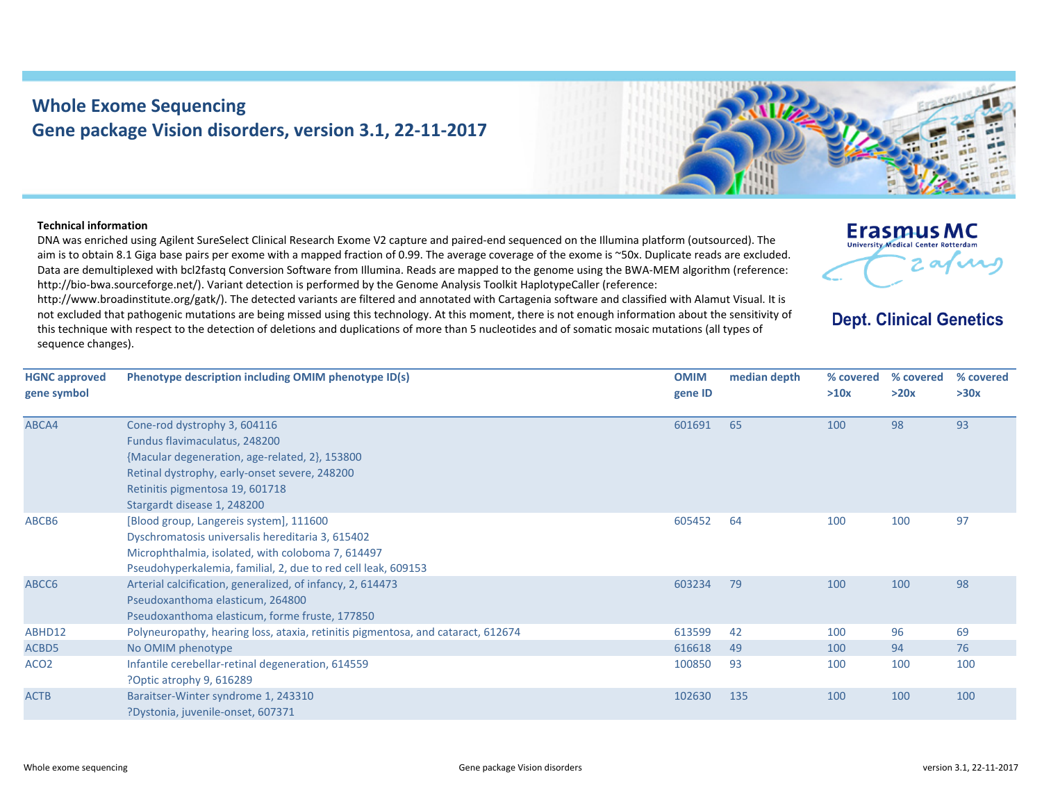## **Whole Exome Sequencing Gene package Vision disorders, version 3.1, 22‐11‐2017**



## **Technical information**

DNA was enriched using Agilent SureSelect Clinical Research Exome V2 capture and paired‐end sequenced on the Illumina platform (outsourced). The aim is to obtain 8.1 Giga base pairs per exome with <sup>a</sup> mapped fraction of 0.99. The average coverage of the exome is ~50x. Duplicate reads are excluded. Data are demultiplexed with bcl2fastq Conversion Software from Illumina. Reads are mapped to the genome using the BWA‐MEM algorithm (reference: http://bio-bwa.sourceforge.net/). Variant detection is performed by the Genome Analysis Toolkit HaplotypeCaller (reference:

http://www.broadinstitute.org/gatk/). The detected variants are filtered and annotated with Cartagenia software and classified with Alamut Visual. It is not excluded that pathogenic mutations are being missed using this technology. At this moment, there is not enough information about the sensitivity of this technique with respect to the detection of deletions and duplications of more than 5 nucleotides and of somatic mosaic mutations (all types of sequence changes).



**Dept. Clinical Genetics** 

| <b>HGNC approved</b> | Phenotype description including OMIM phenotype ID(s)                             | <b>OMIM</b> | median depth | % covered | % covered | % covered |
|----------------------|----------------------------------------------------------------------------------|-------------|--------------|-----------|-----------|-----------|
| gene symbol          |                                                                                  | gene ID     |              | >10x      | >20x      | >30x      |
| ABCA4                | Cone-rod dystrophy 3, 604116                                                     | 601691      | 65           | 100       | 98        | 93        |
|                      | Fundus flavimaculatus, 248200                                                    |             |              |           |           |           |
|                      | {Macular degeneration, age-related, 2}, 153800                                   |             |              |           |           |           |
|                      | Retinal dystrophy, early-onset severe, 248200                                    |             |              |           |           |           |
|                      | Retinitis pigmentosa 19, 601718                                                  |             |              |           |           |           |
|                      | Stargardt disease 1, 248200                                                      |             |              |           |           |           |
| ABCB6                | [Blood group, Langereis system], 111600                                          | 605452      | 64           | 100       | 100       | 97        |
|                      | Dyschromatosis universalis hereditaria 3, 615402                                 |             |              |           |           |           |
|                      | Microphthalmia, isolated, with coloboma 7, 614497                                |             |              |           |           |           |
|                      | Pseudohyperkalemia, familial, 2, due to red cell leak, 609153                    |             |              |           |           |           |
| ABCC6                | Arterial calcification, generalized, of infancy, 2, 614473                       | 603234      | 79           | 100       | 100       | 98        |
|                      | Pseudoxanthoma elasticum, 264800                                                 |             |              |           |           |           |
|                      | Pseudoxanthoma elasticum, forme fruste, 177850                                   |             |              |           |           |           |
| ABHD12               | Polyneuropathy, hearing loss, ataxia, retinitis pigmentosa, and cataract, 612674 | 613599      | 42           | 100       | 96        | 69        |
| ACBD5                | No OMIM phenotype                                                                | 616618      | 49           | 100       | 94        | 76        |
| ACO <sub>2</sub>     | Infantile cerebellar-retinal degeneration, 614559                                | 100850      | 93           | 100       | 100       | 100       |
|                      | ?Optic atrophy 9, 616289                                                         |             |              |           |           |           |
| <b>ACTB</b>          | Baraitser-Winter syndrome 1, 243310                                              | 102630      | 135          | 100       | 100       | 100       |
|                      | ?Dystonia, juvenile-onset, 607371                                                |             |              |           |           |           |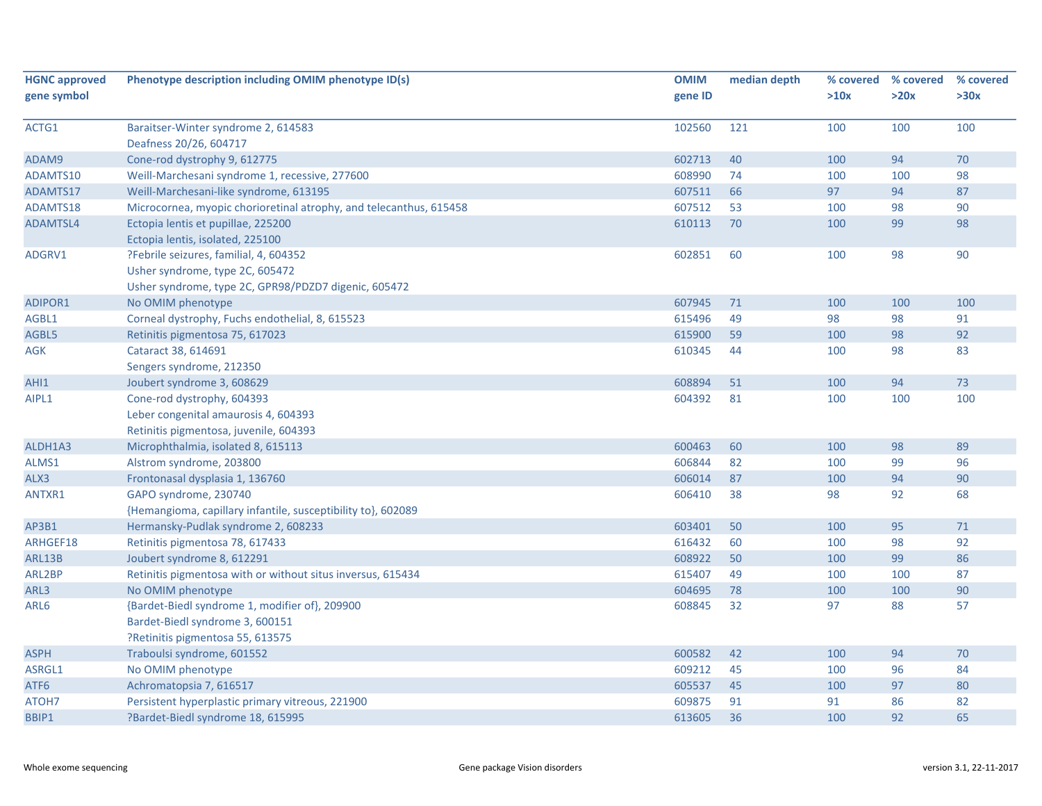| <b>HGNC approved</b> | Phenotype description including OMIM phenotype ID(s)               | <b>OMIM</b> | median depth | % covered | % covered | % covered |
|----------------------|--------------------------------------------------------------------|-------------|--------------|-----------|-----------|-----------|
| gene symbol          |                                                                    | gene ID     |              | >10x      | >20x      | >30x      |
|                      |                                                                    |             |              |           |           |           |
| ACTG1                | Baraitser-Winter syndrome 2, 614583                                | 102560      | 121          | 100       | 100       | 100       |
|                      | Deafness 20/26, 604717                                             |             |              |           |           |           |
| ADAM9                | Cone-rod dystrophy 9, 612775                                       | 602713      | 40           | 100       | 94        | 70        |
| ADAMTS10             | Weill-Marchesani syndrome 1, recessive, 277600                     | 608990      | 74           | 100       | 100       | 98        |
| ADAMTS17             | Weill-Marchesani-like syndrome, 613195                             | 607511      | 66           | 97        | 94        | 87        |
| ADAMTS18             | Microcornea, myopic chorioretinal atrophy, and telecanthus, 615458 | 607512      | 53           | 100       | 98        | 90        |
| ADAMTSL4             | Ectopia lentis et pupillae, 225200                                 | 610113      | 70           | 100       | 99        | 98        |
|                      | Ectopia lentis, isolated, 225100                                   |             |              |           |           |           |
| ADGRV1               | ?Febrile seizures, familial, 4, 604352                             | 602851      | 60           | 100       | 98        | 90        |
|                      | Usher syndrome, type 2C, 605472                                    |             |              |           |           |           |
|                      | Usher syndrome, type 2C, GPR98/PDZD7 digenic, 605472               |             |              |           |           |           |
| ADIPOR1              | No OMIM phenotype                                                  | 607945      | 71           | 100       | 100       | 100       |
| AGBL1                | Corneal dystrophy, Fuchs endothelial, 8, 615523                    | 615496      | 49           | 98        | 98        | 91        |
| AGBL5                | Retinitis pigmentosa 75, 617023                                    | 615900      | 59           | 100       | 98        | 92        |
| AGK                  | Cataract 38, 614691                                                | 610345      | 44           | 100       | 98        | 83        |
|                      | Sengers syndrome, 212350                                           |             |              |           |           |           |
| AHI1                 | Joubert syndrome 3, 608629                                         | 608894      | 51           | 100       | 94        | 73        |
| AIPL1                | Cone-rod dystrophy, 604393                                         | 604392      | 81           | 100       | 100       | 100       |
|                      | Leber congenital amaurosis 4, 604393                               |             |              |           |           |           |
|                      | Retinitis pigmentosa, juvenile, 604393                             |             |              |           |           |           |
| ALDH1A3              | Microphthalmia, isolated 8, 615113                                 | 600463      | 60           | 100       | 98        | 89        |
| ALMS1                | Alstrom syndrome, 203800                                           | 606844      | 82           | 100       | 99        | 96        |
| ALX3                 | Frontonasal dysplasia 1, 136760                                    | 606014      | 87           | 100       | 94        | 90        |
| ANTXR1               | GAPO syndrome, 230740                                              | 606410      | 38           | 98        | 92        | 68        |
|                      | {Hemangioma, capillary infantile, susceptibility to}, 602089       |             |              |           |           |           |
| AP3B1                | Hermansky-Pudlak syndrome 2, 608233                                | 603401      | 50           | 100       | 95        | $71\,$    |
| ARHGEF18             | Retinitis pigmentosa 78, 617433                                    | 616432      | 60           | 100       | 98        | 92        |
| ARL13B               | Joubert syndrome 8, 612291                                         | 608922      | 50           | 100       | 99        | 86        |
| ARL2BP               | Retinitis pigmentosa with or without situs inversus, 615434        | 615407      | 49           | 100       | 100       | 87        |
| ARL3                 | No OMIM phenotype                                                  | 604695      | 78           | 100       | 100       | 90        |
| ARL6                 | {Bardet-Biedl syndrome 1, modifier of}, 209900                     | 608845      | 32           | 97        | 88        | 57        |
|                      | Bardet-Biedl syndrome 3, 600151                                    |             |              |           |           |           |
|                      | PRetinitis pigmentosa 55, 613575                                   |             |              |           |           |           |
| <b>ASPH</b>          | Traboulsi syndrome, 601552                                         | 600582      | 42           | 100       | 94        | 70        |
| ASRGL1               | No OMIM phenotype                                                  | 609212      | 45           | 100       | 96        | 84        |
| ATF6                 | Achromatopsia 7, 616517                                            | 605537      | 45           | 100       | 97        | 80        |
| ATOH7                | Persistent hyperplastic primary vitreous, 221900                   | 609875      | 91           | 91        | 86        | 82        |
| BBIP1                | ?Bardet-Biedl syndrome 18, 615995                                  | 613605      | 36           | 100       | 92        | 65        |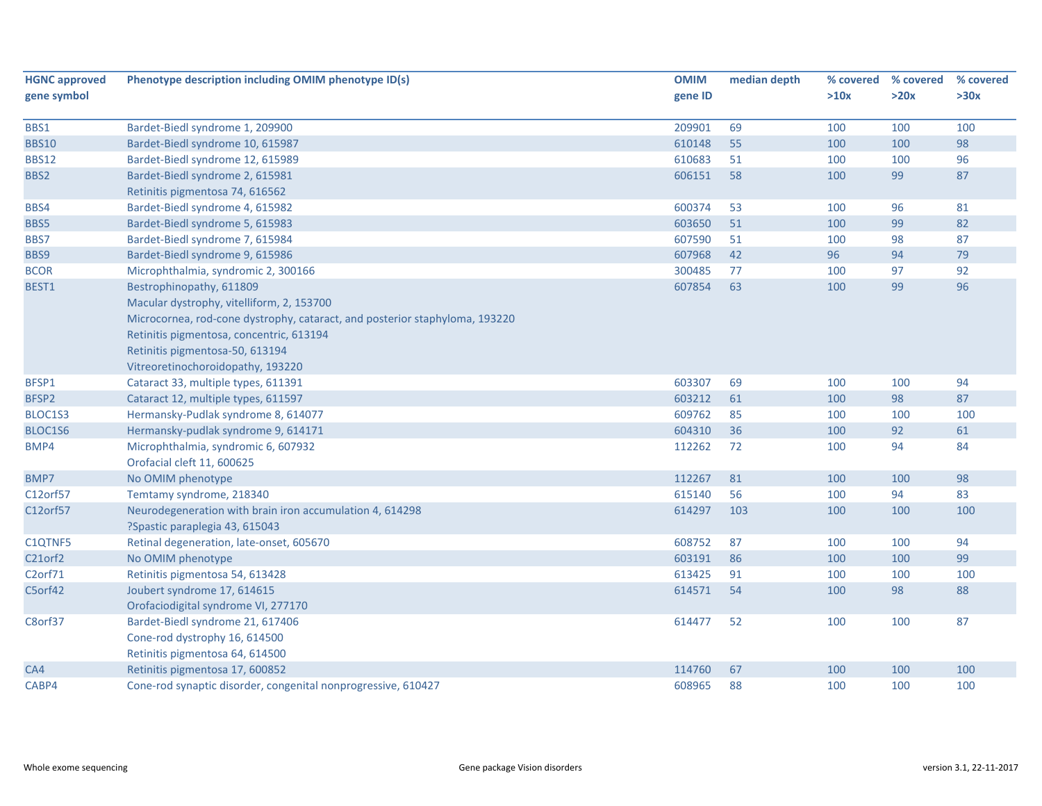| <b>HGNC approved</b> | Phenotype description including OMIM phenotype ID(s)                        | <b>OMIM</b> | median depth |      | % covered % covered | % covered |
|----------------------|-----------------------------------------------------------------------------|-------------|--------------|------|---------------------|-----------|
| gene symbol          |                                                                             | gene ID     |              | >10x | >20x                | >30x      |
|                      |                                                                             |             |              |      |                     |           |
| BBS1                 | Bardet-Biedl syndrome 1, 209900                                             | 209901      | 69           | 100  | 100                 | 100       |
| <b>BBS10</b>         | Bardet-Biedl syndrome 10, 615987                                            | 610148      | 55           | 100  | 100                 | 98        |
| <b>BBS12</b>         | Bardet-Biedl syndrome 12, 615989                                            | 610683      | 51           | 100  | 100                 | 96        |
| BBS2                 | Bardet-Biedl syndrome 2, 615981                                             | 606151      | 58           | 100  | 99                  | 87        |
|                      | Retinitis pigmentosa 74, 616562                                             |             |              |      |                     |           |
| BBS4                 | Bardet-Biedl syndrome 4, 615982                                             | 600374      | 53           | 100  | 96                  | 81        |
| BBS5                 | Bardet-Biedl syndrome 5, 615983                                             | 603650      | 51           | 100  | 99                  | 82        |
| BBS7                 | Bardet-Biedl syndrome 7, 615984                                             | 607590      | 51           | 100  | 98                  | 87        |
| BBS9                 | Bardet-Biedl syndrome 9, 615986                                             | 607968      | 42           | 96   | 94                  | 79        |
| <b>BCOR</b>          | Microphthalmia, syndromic 2, 300166                                         | 300485      | 77           | 100  | 97                  | 92        |
| BEST1                | Bestrophinopathy, 611809                                                    | 607854      | 63           | 100  | 99                  | 96        |
|                      | Macular dystrophy, vitelliform, 2, 153700                                   |             |              |      |                     |           |
|                      | Microcornea, rod-cone dystrophy, cataract, and posterior staphyloma, 193220 |             |              |      |                     |           |
|                      | Retinitis pigmentosa, concentric, 613194                                    |             |              |      |                     |           |
|                      | Retinitis pigmentosa-50, 613194                                             |             |              |      |                     |           |
|                      | Vitreoretinochoroidopathy, 193220                                           |             |              |      |                     |           |
| BFSP1                | Cataract 33, multiple types, 611391                                         | 603307      | 69           | 100  | 100                 | 94        |
| BFSP2                | Cataract 12, multiple types, 611597                                         | 603212      | 61           | 100  | 98                  | 87        |
| BLOC1S3              | Hermansky-Pudlak syndrome 8, 614077                                         | 609762      | 85           | 100  | 100                 | 100       |
| BLOC1S6              | Hermansky-pudlak syndrome 9, 614171                                         | 604310      | 36           | 100  | 92                  | 61        |
| BMP4                 | Microphthalmia, syndromic 6, 607932                                         | 112262      | 72           | 100  | 94                  | 84        |
|                      | Orofacial cleft 11, 600625                                                  |             |              |      |                     |           |
| BMP7                 | No OMIM phenotype                                                           | 112267      | 81           | 100  | 100                 | 98        |
| C12orf57             | Temtamy syndrome, 218340                                                    | 615140      | 56           | 100  | 94                  | 83        |
| C12orf57             | Neurodegeneration with brain iron accumulation 4, 614298                    | 614297      | 103          | 100  | 100                 | 100       |
|                      | ?Spastic paraplegia 43, 615043                                              |             |              |      |                     |           |
| C1QTNF5              | Retinal degeneration, late-onset, 605670                                    | 608752      | 87           | 100  | 100                 | 94        |
| C21orf2              | No OMIM phenotype                                                           | 603191      | 86           | 100  | 100                 | 99        |
| C <sub>2</sub> orf71 | Retinitis pigmentosa 54, 613428                                             | 613425      | 91           | 100  | 100                 | 100       |
| C5orf42              | Joubert syndrome 17, 614615                                                 | 614571      | 54           | 100  | 98                  | 88        |
|                      | Orofaciodigital syndrome VI, 277170                                         |             |              |      |                     |           |
| C8orf37              | Bardet-Biedl syndrome 21, 617406                                            | 614477      | 52           | 100  | 100                 | 87        |
|                      | Cone-rod dystrophy 16, 614500                                               |             |              |      |                     |           |
|                      | Retinitis pigmentosa 64, 614500                                             |             |              |      |                     |           |
| CA4                  | Retinitis pigmentosa 17, 600852                                             | 114760      | 67           | 100  | 100                 | 100       |
| CABP4                | Cone-rod synaptic disorder, congenital nonprogressive, 610427               | 608965      | 88           | 100  | 100                 | 100       |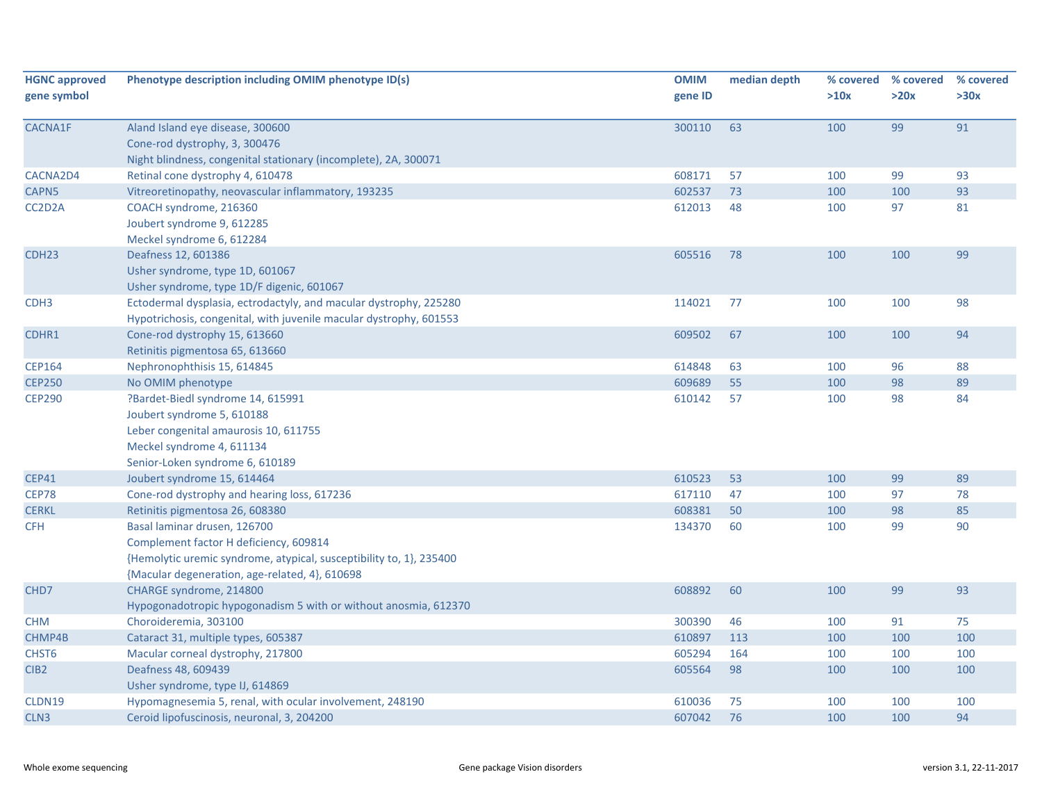| <b>HGNC approved</b><br>gene symbol | Phenotype description including OMIM phenotype ID(s)                                                                                                                                            | <b>OMIM</b><br>gene ID | median depth | % covered<br>>10x | % covered<br>>20x | % covered<br>>30x |
|-------------------------------------|-------------------------------------------------------------------------------------------------------------------------------------------------------------------------------------------------|------------------------|--------------|-------------------|-------------------|-------------------|
| <b>CACNA1F</b>                      | Aland Island eye disease, 300600<br>Cone-rod dystrophy, 3, 300476<br>Night blindness, congenital stationary (incomplete), 2A, 300071                                                            | 300110                 | 63           | 100               | 99                | 91                |
| CACNA2D4                            | Retinal cone dystrophy 4, 610478                                                                                                                                                                | 608171                 | 57           | 100               | 99                | 93                |
| CAPN5                               | Vitreoretinopathy, neovascular inflammatory, 193235                                                                                                                                             | 602537                 | 73           | 100               | 100               | 93                |
| CC2D2A                              | COACH syndrome, 216360<br>Joubert syndrome 9, 612285<br>Meckel syndrome 6, 612284                                                                                                               | 612013                 | 48           | 100               | 97                | 81                |
| CDH <sub>23</sub>                   | Deafness 12, 601386<br>Usher syndrome, type 1D, 601067<br>Usher syndrome, type 1D/F digenic, 601067                                                                                             | 605516                 | 78           | 100               | 100               | 99                |
| CDH <sub>3</sub>                    | Ectodermal dysplasia, ectrodactyly, and macular dystrophy, 225280<br>Hypotrichosis, congenital, with juvenile macular dystrophy, 601553                                                         | 114021                 | 77           | 100               | 100               | 98                |
| CDHR1                               | Cone-rod dystrophy 15, 613660<br>Retinitis pigmentosa 65, 613660                                                                                                                                | 609502                 | 67           | 100               | 100               | 94                |
| <b>CEP164</b>                       | Nephronophthisis 15, 614845                                                                                                                                                                     | 614848                 | 63           | 100               | 96                | 88                |
| <b>CEP250</b>                       | No OMIM phenotype                                                                                                                                                                               | 609689                 | 55           | 100               | 98                | 89                |
| <b>CEP290</b>                       | ?Bardet-Biedl syndrome 14, 615991<br>Joubert syndrome 5, 610188<br>Leber congenital amaurosis 10, 611755<br>Meckel syndrome 4, 611134<br>Senior-Loken syndrome 6, 610189                        | 610142                 | 57           | 100               | 98                | 84                |
| <b>CEP41</b>                        | Joubert syndrome 15, 614464                                                                                                                                                                     | 610523                 | 53           | 100               | 99                | 89                |
| <b>CEP78</b>                        | Cone-rod dystrophy and hearing loss, 617236                                                                                                                                                     | 617110                 | 47           | 100               | 97                | 78                |
| <b>CERKL</b>                        | Retinitis pigmentosa 26, 608380                                                                                                                                                                 | 608381                 | 50           | 100               | 98                | 85                |
| <b>CFH</b>                          | Basal laminar drusen, 126700<br>Complement factor H deficiency, 609814<br>{Hemolytic uremic syndrome, atypical, susceptibility to, 1}, 235400<br>{Macular degeneration, age-related, 4}, 610698 | 134370                 | 60           | 100               | 99                | 90                |
| CHD7                                | CHARGE syndrome, 214800<br>Hypogonadotropic hypogonadism 5 with or without anosmia, 612370                                                                                                      | 608892                 | 60           | 100               | 99                | 93                |
| <b>CHM</b>                          | Choroideremia, 303100                                                                                                                                                                           | 300390                 | 46           | 100               | 91                | 75                |
| CHMP4B                              | Cataract 31, multiple types, 605387                                                                                                                                                             | 610897                 | 113          | 100               | 100               | 100               |
| CHST <sub>6</sub>                   | Macular corneal dystrophy, 217800                                                                                                                                                               | 605294                 | 164          | 100               | 100               | 100               |
| CIB <sub>2</sub>                    | Deafness 48, 609439<br>Usher syndrome, type IJ, 614869                                                                                                                                          | 605564                 | 98           | 100               | 100               | 100               |
| CLDN19                              | Hypomagnesemia 5, renal, with ocular involvement, 248190                                                                                                                                        | 610036                 | 75           | 100               | 100               | 100               |
| CLN <sub>3</sub>                    | Ceroid lipofuscinosis, neuronal, 3, 204200                                                                                                                                                      | 607042                 | 76           | 100               | 100               | 94                |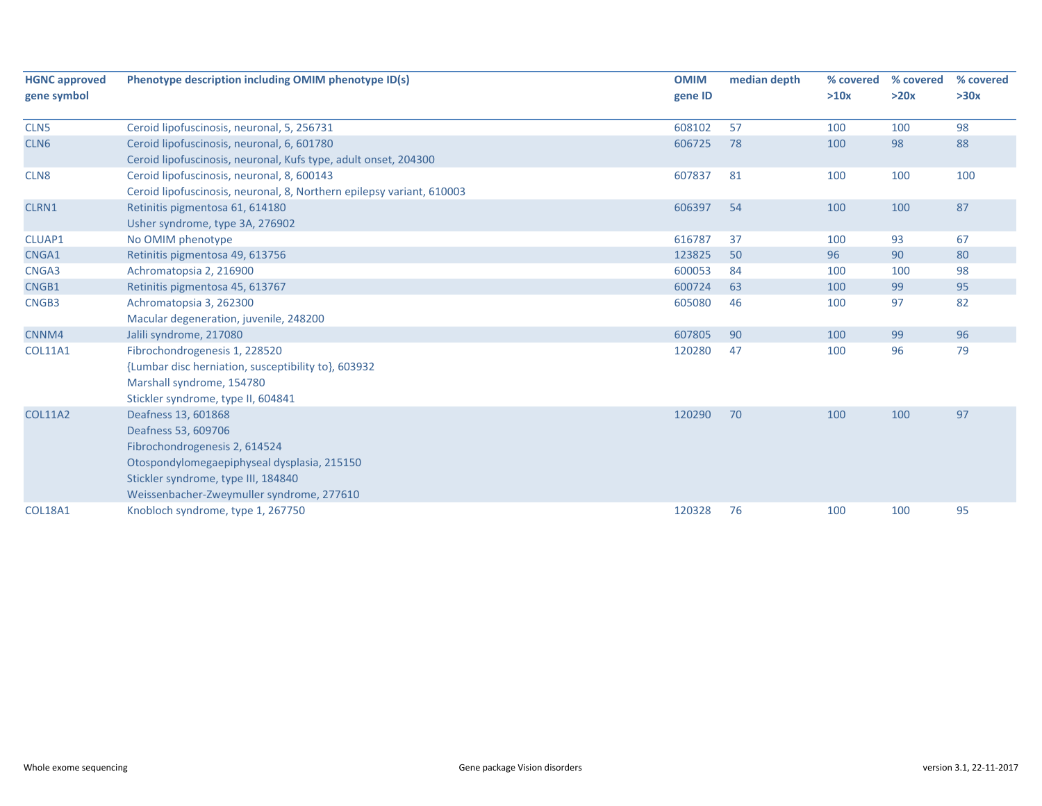| <b>HGNC approved</b> | Phenotype description including OMIM phenotype ID(s)                  | <b>OMIM</b> | median depth | % covered | % covered | % covered |
|----------------------|-----------------------------------------------------------------------|-------------|--------------|-----------|-----------|-----------|
| gene symbol          |                                                                       | gene ID     |              | >10x      | >20x      | >30x      |
| CLN <sub>5</sub>     | Ceroid lipofuscinosis, neuronal, 5, 256731                            | 608102      | 57           | 100       | 100       | 98        |
| CLN <sub>6</sub>     | Ceroid lipofuscinosis, neuronal, 6, 601780                            | 606725      | 78           | 100       | 98        | 88        |
|                      | Ceroid lipofuscinosis, neuronal, Kufs type, adult onset, 204300       |             |              |           |           |           |
| CLN <sub>8</sub>     | Ceroid lipofuscinosis, neuronal, 8, 600143                            | 607837      | 81           | 100       | 100       | 100       |
|                      | Ceroid lipofuscinosis, neuronal, 8, Northern epilepsy variant, 610003 |             |              |           |           |           |
| CLRN1                | Retinitis pigmentosa 61, 614180                                       | 606397      | 54           | 100       | 100       | 87        |
|                      | Usher syndrome, type 3A, 276902                                       |             |              |           |           |           |
| CLUAP1               | No OMIM phenotype                                                     | 616787      | 37           | 100       | 93        | 67        |
| CNGA1                | Retinitis pigmentosa 49, 613756                                       | 123825      | 50           | 96        | 90        | 80        |
| CNGA3                | Achromatopsia 2, 216900                                               | 600053      | 84           | 100       | 100       | 98        |
| CNGB1                | Retinitis pigmentosa 45, 613767                                       | 600724      | 63           | 100       | 99        | 95        |
| CNGB3                | Achromatopsia 3, 262300                                               | 605080      | 46           | 100       | 97        | 82        |
|                      | Macular degeneration, juvenile, 248200                                |             |              |           |           |           |
| CNNM4                | Jalili syndrome, 217080                                               | 607805      | 90           | 100       | 99        | 96        |
| <b>COL11A1</b>       | Fibrochondrogenesis 1, 228520                                         | 120280      | 47           | 100       | 96        | 79        |
|                      | {Lumbar disc herniation, susceptibility to}, 603932                   |             |              |           |           |           |
|                      | Marshall syndrome, 154780                                             |             |              |           |           |           |
|                      | Stickler syndrome, type II, 604841                                    |             |              |           |           |           |
| <b>COL11A2</b>       | Deafness 13, 601868                                                   | 120290      | 70           | 100       | 100       | 97        |
|                      | Deafness 53, 609706                                                   |             |              |           |           |           |
|                      | Fibrochondrogenesis 2, 614524                                         |             |              |           |           |           |
|                      | Otospondylomegaepiphyseal dysplasia, 215150                           |             |              |           |           |           |
|                      | Stickler syndrome, type III, 184840                                   |             |              |           |           |           |
|                      | Weissenbacher-Zweymuller syndrome, 277610                             |             |              |           |           |           |
| <b>COL18A1</b>       | Knobloch syndrome, type 1, 267750                                     | 120328      | 76           | 100       | 100       | 95        |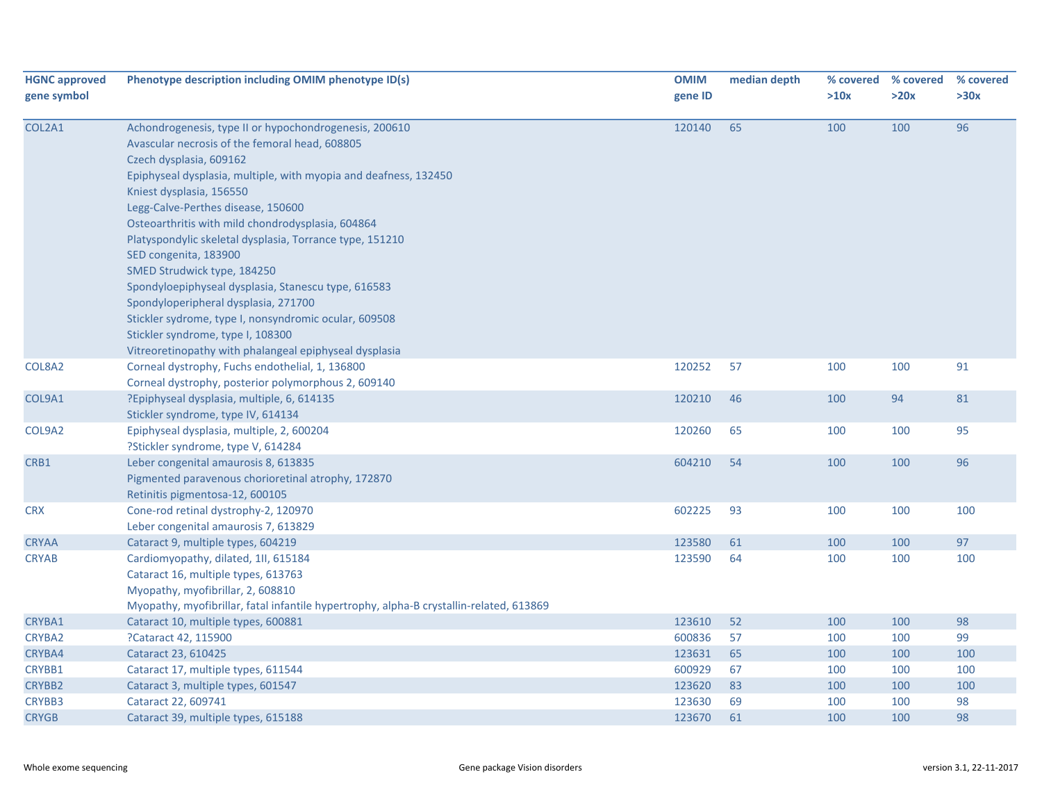| <b>HGNC approved</b><br>gene symbol | Phenotype description including OMIM phenotype ID(s)                                                                                                                                                                                                                                                                                                                                                                                                                                                                                                                                                                                                                                                      | <b>OMIM</b><br>gene ID | median depth | >10x | % covered % covered<br>>20x | % covered<br>>30x |
|-------------------------------------|-----------------------------------------------------------------------------------------------------------------------------------------------------------------------------------------------------------------------------------------------------------------------------------------------------------------------------------------------------------------------------------------------------------------------------------------------------------------------------------------------------------------------------------------------------------------------------------------------------------------------------------------------------------------------------------------------------------|------------------------|--------------|------|-----------------------------|-------------------|
| COL2A1                              | Achondrogenesis, type II or hypochondrogenesis, 200610<br>Avascular necrosis of the femoral head, 608805<br>Czech dysplasia, 609162<br>Epiphyseal dysplasia, multiple, with myopia and deafness, 132450<br>Kniest dysplasia, 156550<br>Legg-Calve-Perthes disease, 150600<br>Osteoarthritis with mild chondrodysplasia, 604864<br>Platyspondylic skeletal dysplasia, Torrance type, 151210<br>SED congenita, 183900<br>SMED Strudwick type, 184250<br>Spondyloepiphyseal dysplasia, Stanescu type, 616583<br>Spondyloperipheral dysplasia, 271700<br>Stickler sydrome, type I, nonsyndromic ocular, 609508<br>Stickler syndrome, type I, 108300<br>Vitreoretinopathy with phalangeal epiphyseal dysplasia | 120140                 | 65           | 100  | 100                         | 96                |
| COL8A2                              | Corneal dystrophy, Fuchs endothelial, 1, 136800<br>Corneal dystrophy, posterior polymorphous 2, 609140                                                                                                                                                                                                                                                                                                                                                                                                                                                                                                                                                                                                    | 120252                 | 57           | 100  | 100                         | 91                |
| COL9A1                              | ?Epiphyseal dysplasia, multiple, 6, 614135<br>Stickler syndrome, type IV, 614134                                                                                                                                                                                                                                                                                                                                                                                                                                                                                                                                                                                                                          | 120210                 | 46           | 100  | 94                          | 81                |
| COL9A2                              | Epiphyseal dysplasia, multiple, 2, 600204<br>?Stickler syndrome, type V, 614284                                                                                                                                                                                                                                                                                                                                                                                                                                                                                                                                                                                                                           | 120260                 | 65           | 100  | 100                         | 95                |
| CRB1                                | Leber congenital amaurosis 8, 613835<br>Pigmented paravenous chorioretinal atrophy, 172870<br>Retinitis pigmentosa-12, 600105                                                                                                                                                                                                                                                                                                                                                                                                                                                                                                                                                                             | 604210                 | 54           | 100  | 100                         | 96                |
| <b>CRX</b>                          | Cone-rod retinal dystrophy-2, 120970<br>Leber congenital amaurosis 7, 613829                                                                                                                                                                                                                                                                                                                                                                                                                                                                                                                                                                                                                              | 602225                 | 93           | 100  | 100                         | 100               |
| <b>CRYAA</b>                        | Cataract 9, multiple types, 604219                                                                                                                                                                                                                                                                                                                                                                                                                                                                                                                                                                                                                                                                        | 123580                 | 61           | 100  | 100                         | 97                |
| <b>CRYAB</b>                        | Cardiomyopathy, dilated, 1ll, 615184<br>Cataract 16, multiple types, 613763<br>Myopathy, myofibrillar, 2, 608810<br>Myopathy, myofibrillar, fatal infantile hypertrophy, alpha-B crystallin-related, 613869                                                                                                                                                                                                                                                                                                                                                                                                                                                                                               | 123590                 | 64           | 100  | 100                         | 100               |
| CRYBA1                              | Cataract 10, multiple types, 600881                                                                                                                                                                                                                                                                                                                                                                                                                                                                                                                                                                                                                                                                       | 123610                 | 52           | 100  | 100                         | 98                |
| <b>CRYBA2</b>                       | ?Cataract 42, 115900                                                                                                                                                                                                                                                                                                                                                                                                                                                                                                                                                                                                                                                                                      | 600836                 | 57           | 100  | 100                         | 99                |
| CRYBA4                              | Cataract 23, 610425                                                                                                                                                                                                                                                                                                                                                                                                                                                                                                                                                                                                                                                                                       | 123631                 | 65           | 100  | 100                         | 100               |
| CRYBB1                              | Cataract 17, multiple types, 611544                                                                                                                                                                                                                                                                                                                                                                                                                                                                                                                                                                                                                                                                       | 600929                 | 67           | 100  | 100                         | 100               |
| CRYBB2                              | Cataract 3, multiple types, 601547                                                                                                                                                                                                                                                                                                                                                                                                                                                                                                                                                                                                                                                                        | 123620                 | 83           | 100  | 100                         | 100               |
| CRYBB3                              | Cataract 22, 609741                                                                                                                                                                                                                                                                                                                                                                                                                                                                                                                                                                                                                                                                                       | 123630                 | 69           | 100  | 100                         | 98                |
| <b>CRYGB</b>                        | Cataract 39, multiple types, 615188                                                                                                                                                                                                                                                                                                                                                                                                                                                                                                                                                                                                                                                                       | 123670                 | 61           | 100  | 100                         | 98                |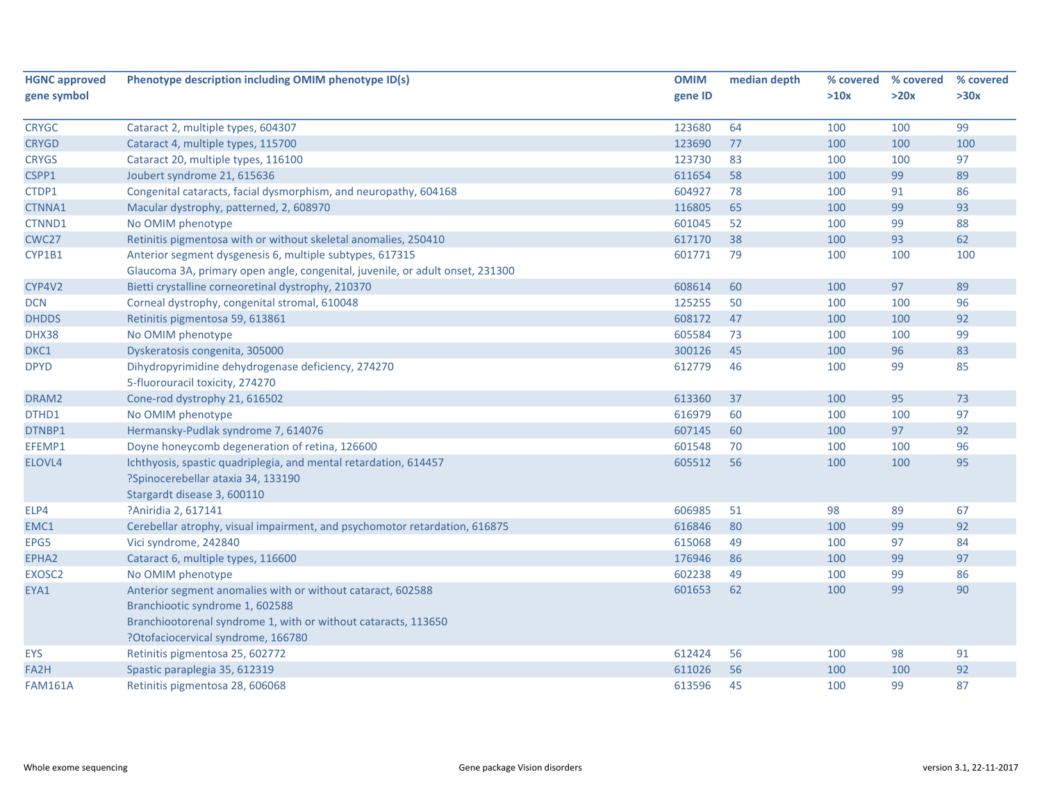| <b>HGNC approved</b> | Phenotype description including OMIM phenotype ID(s)                          | <b>OMIM</b> | median depth | % covered | % covered | % covered |
|----------------------|-------------------------------------------------------------------------------|-------------|--------------|-----------|-----------|-----------|
| gene symbol          |                                                                               | gene ID     |              | >10x      | >20x      | >30x      |
|                      |                                                                               |             |              |           |           |           |
| <b>CRYGC</b>         | Cataract 2, multiple types, 604307                                            | 123680      | 64           | 100       | 100       | 99        |
| <b>CRYGD</b>         | Cataract 4, multiple types, 115700                                            | 123690      | 77           | 100       | 100       | 100       |
| <b>CRYGS</b>         | Cataract 20, multiple types, 116100                                           | 123730      | 83           | 100       | 100       | 97        |
| CSPP1                | Joubert syndrome 21, 615636                                                   | 611654      | 58           | 100       | 99        | 89        |
| CTDP1                | Congenital cataracts, facial dysmorphism, and neuropathy, 604168              | 604927      | 78           | 100       | 91        | 86        |
| CTNNA1               | Macular dystrophy, patterned, 2, 608970                                       | 116805      | 65           | 100       | 99        | 93        |
| CTNND1               | No OMIM phenotype                                                             | 601045      | 52           | 100       | 99        | 88        |
| CWC27                | Retinitis pigmentosa with or without skeletal anomalies, 250410               | 617170      | 38           | 100       | 93        | 62        |
| CYP1B1               | Anterior segment dysgenesis 6, multiple subtypes, 617315                      | 601771      | 79           | 100       | 100       | 100       |
|                      | Glaucoma 3A, primary open angle, congenital, juvenile, or adult onset, 231300 |             |              |           |           |           |
| CYP4V2               | Bietti crystalline corneoretinal dystrophy, 210370                            | 608614      | 60           | 100       | 97        | 89        |
| <b>DCN</b>           | Corneal dystrophy, congenital stromal, 610048                                 | 125255      | 50           | 100       | 100       | 96        |
| <b>DHDDS</b>         | Retinitis pigmentosa 59, 613861                                               | 608172      | 47           | 100       | 100       | 92        |
| DHX38                | No OMIM phenotype                                                             | 605584      | 73           | 100       | 100       | 99        |
| DKC1                 | Dyskeratosis congenita, 305000                                                | 300126      | 45           | 100       | 96        | 83        |
| <b>DPYD</b>          | Dihydropyrimidine dehydrogenase deficiency, 274270                            | 612779      | 46           | 100       | 99        | 85        |
|                      | 5-fluorouracil toxicity, 274270                                               |             |              |           |           |           |
| DRAM2                | Cone-rod dystrophy 21, 616502                                                 | 613360      | 37           | 100       | 95        | 73        |
| DTHD1                | No OMIM phenotype                                                             | 616979      | 60           | 100       | 100       | 97        |
| DTNBP1               | Hermansky-Pudlak syndrome 7, 614076                                           | 607145      | 60           | 100       | 97        | 92        |
| EFEMP1               | Doyne honeycomb degeneration of retina, 126600                                | 601548      | 70           | 100       | 100       | 96        |
| ELOVL4               | Ichthyosis, spastic quadriplegia, and mental retardation, 614457              | 605512      | 56           | 100       | 100       | 95        |
|                      | ?Spinocerebellar ataxia 34, 133190                                            |             |              |           |           |           |
|                      | Stargardt disease 3, 600110                                                   |             |              |           |           |           |
| ELP4                 | ?Aniridia 2, 617141                                                           | 606985      | 51           | 98        | 89        | 67        |
| EMC1                 | Cerebellar atrophy, visual impairment, and psychomotor retardation, 616875    | 616846      | 80           | 100       | 99        | 92        |
| EPG5                 | Vici syndrome, 242840                                                         | 615068      | 49           | 100       | 97        | 84        |
| EPHA2                | Cataract 6, multiple types, 116600                                            | 176946      | 86           | 100       | 99        | 97        |
| EXOSC2               | No OMIM phenotype                                                             | 602238      | 49           | 100       | 99        | 86        |
| EYA1                 | Anterior segment anomalies with or without cataract, 602588                   | 601653      | 62           | 100       | 99        | 90        |
|                      | Branchiootic syndrome 1, 602588                                               |             |              |           |           |           |
|                      | Branchiootorenal syndrome 1, with or without cataracts, 113650                |             |              |           |           |           |
|                      | ?Otofaciocervical syndrome, 166780                                            |             |              |           |           |           |
| <b>EYS</b>           | Retinitis pigmentosa 25, 602772                                               | 612424      | 56           | 100       | 98        | 91        |
| FA <sub>2</sub> H    | Spastic paraplegia 35, 612319                                                 | 611026      | 56           | 100       | 100       | 92        |
| <b>FAM161A</b>       | Retinitis pigmentosa 28, 606068                                               | 613596      | 45           | 100       | 99        | 87        |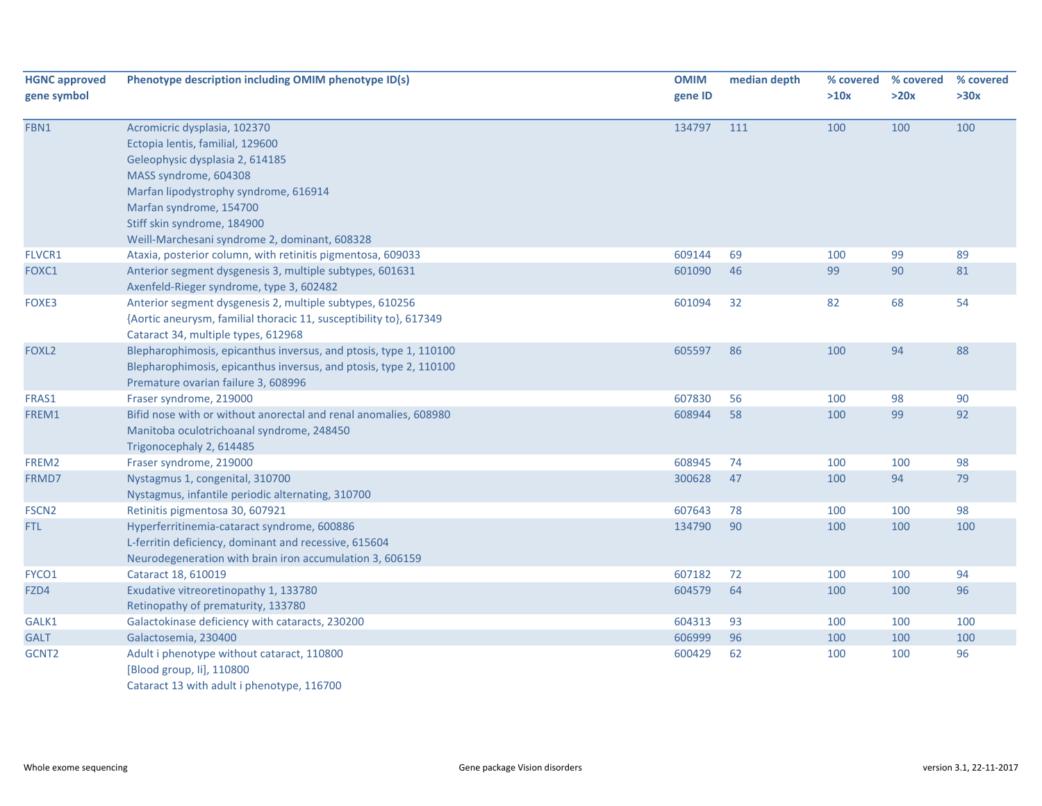| <b>HGNC approved</b><br>gene symbol | Phenotype description including OMIM phenotype ID(s)                                                                                                                                                                                                                             | <b>OMIM</b><br>gene ID | median depth | % covered<br>>10x | % covered<br>>20x | % covered<br>>30x |
|-------------------------------------|----------------------------------------------------------------------------------------------------------------------------------------------------------------------------------------------------------------------------------------------------------------------------------|------------------------|--------------|-------------------|-------------------|-------------------|
| FBN1                                | Acromicric dysplasia, 102370<br>Ectopia lentis, familial, 129600<br>Geleophysic dysplasia 2, 614185<br>MASS syndrome, 604308<br>Marfan lipodystrophy syndrome, 616914<br>Marfan syndrome, 154700<br>Stiff skin syndrome, 184900<br>Weill-Marchesani syndrome 2, dominant, 608328 | 134797                 | 111          | 100               | 100               | 100               |
| FLVCR1                              | Ataxia, posterior column, with retinitis pigmentosa, 609033                                                                                                                                                                                                                      | 609144                 | 69           | 100               | 99                | 89                |
| FOXC1                               | Anterior segment dysgenesis 3, multiple subtypes, 601631<br>Axenfeld-Rieger syndrome, type 3, 602482                                                                                                                                                                             | 601090                 | 46           | 99                | 90                | 81                |
| FOXE3                               | Anterior segment dysgenesis 2, multiple subtypes, 610256<br>{Aortic aneurysm, familial thoracic 11, susceptibility to}, 617349<br>Cataract 34, multiple types, 612968                                                                                                            | 601094                 | 32           | 82                | 68                | 54                |
| FOXL <sub>2</sub>                   | Blepharophimosis, epicanthus inversus, and ptosis, type 1, 110100<br>Blepharophimosis, epicanthus inversus, and ptosis, type 2, 110100<br>Premature ovarian failure 3, 608996                                                                                                    | 605597                 | 86           | 100               | 94                | 88                |
| FRAS1                               | Fraser syndrome, 219000                                                                                                                                                                                                                                                          | 607830                 | 56           | 100               | 98                | 90                |
| FREM1                               | Bifid nose with or without anorectal and renal anomalies, 608980<br>Manitoba oculotrichoanal syndrome, 248450<br>Trigonocephaly 2, 614485                                                                                                                                        | 608944                 | 58           | 100               | 99                | 92                |
| FREM2                               | Fraser syndrome, 219000                                                                                                                                                                                                                                                          | 608945                 | 74           | 100               | 100               | 98                |
| FRMD7                               | Nystagmus 1, congenital, 310700<br>Nystagmus, infantile periodic alternating, 310700                                                                                                                                                                                             | 300628                 | 47           | 100               | 94                | 79                |
| FSCN <sub>2</sub>                   | Retinitis pigmentosa 30, 607921                                                                                                                                                                                                                                                  | 607643                 | 78           | 100               | 100               | 98                |
| <b>FTL</b>                          | Hyperferritinemia-cataract syndrome, 600886<br>L-ferritin deficiency, dominant and recessive, 615604<br>Neurodegeneration with brain iron accumulation 3, 606159                                                                                                                 | 134790                 | 90           | 100               | 100               | 100               |
| FYCO1                               | Cataract 18, 610019                                                                                                                                                                                                                                                              | 607182                 | 72           | 100               | 100               | 94                |
| FZD4                                | Exudative vitreoretinopathy 1, 133780<br>Retinopathy of prematurity, 133780                                                                                                                                                                                                      | 604579                 | 64           | 100               | 100               | 96                |
| GALK1                               | Galactokinase deficiency with cataracts, 230200                                                                                                                                                                                                                                  | 604313                 | 93           | 100               | 100               | 100               |
| <b>GALT</b>                         | Galactosemia, 230400                                                                                                                                                                                                                                                             | 606999                 | 96           | 100               | 100               | 100               |
| GCNT <sub>2</sub>                   | Adult i phenotype without cataract, 110800<br>[Blood group, Ii], 110800<br>Cataract 13 with adult i phenotype, 116700                                                                                                                                                            | 600429                 | 62           | 100               | 100               | 96                |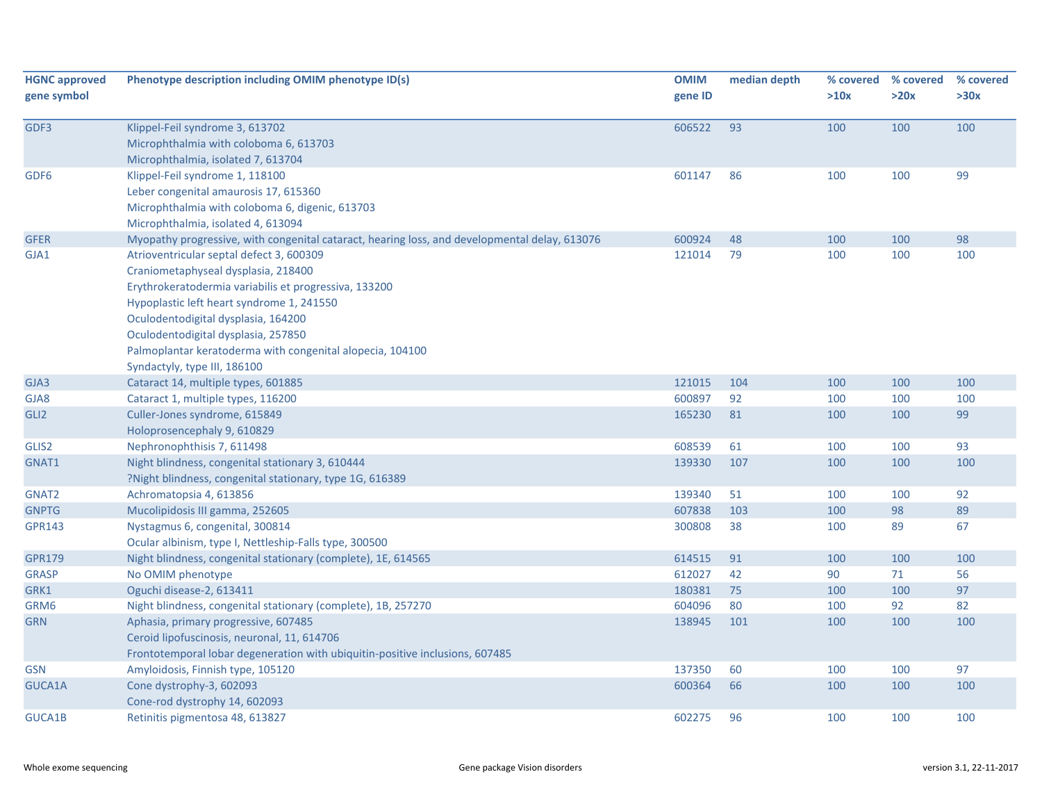| <b>HGNC approved</b><br>gene symbol | Phenotype description including OMIM phenotype ID(s)                                                                                                                                                                                                                                                                                                             | <b>OMIM</b><br>gene ID | median depth | % covered<br>>10x | % covered<br>>20x | % covered<br>>30x |
|-------------------------------------|------------------------------------------------------------------------------------------------------------------------------------------------------------------------------------------------------------------------------------------------------------------------------------------------------------------------------------------------------------------|------------------------|--------------|-------------------|-------------------|-------------------|
| GDF3                                | Klippel-Feil syndrome 3, 613702<br>Microphthalmia with coloboma 6, 613703<br>Microphthalmia, isolated 7, 613704                                                                                                                                                                                                                                                  | 606522                 | 93           | 100               | 100               | 100               |
| GDF <sub>6</sub>                    | Klippel-Feil syndrome 1, 118100<br>Leber congenital amaurosis 17, 615360<br>Microphthalmia with coloboma 6, digenic, 613703<br>Microphthalmia, isolated 4, 613094                                                                                                                                                                                                | 601147                 | 86           | 100               | 100               | 99                |
| <b>GFER</b>                         | Myopathy progressive, with congenital cataract, hearing loss, and developmental delay, 613076                                                                                                                                                                                                                                                                    | 600924                 | 48           | 100               | 100               | 98                |
| GJA1                                | Atrioventricular septal defect 3, 600309<br>Craniometaphyseal dysplasia, 218400<br>Erythrokeratodermia variabilis et progressiva, 133200<br>Hypoplastic left heart syndrome 1, 241550<br>Oculodentodigital dysplasia, 164200<br>Oculodentodigital dysplasia, 257850<br>Palmoplantar keratoderma with congenital alopecia, 104100<br>Syndactyly, type III, 186100 | 121014                 | 79           | 100               | 100               | 100               |
| GJA3                                | Cataract 14, multiple types, 601885                                                                                                                                                                                                                                                                                                                              | 121015                 | 104          | 100               | 100               | 100               |
| GJA8                                | Cataract 1, multiple types, 116200                                                                                                                                                                                                                                                                                                                               | 600897                 | 92           | 100               | 100               | 100               |
| GLI <sub>2</sub>                    | Culler-Jones syndrome, 615849<br>Holoprosencephaly 9, 610829                                                                                                                                                                                                                                                                                                     | 165230                 | 81           | 100               | 100               | 99                |
| GLIS2                               | Nephronophthisis 7, 611498                                                                                                                                                                                                                                                                                                                                       | 608539                 | 61           | 100               | 100               | 93                |
| GNAT1                               | Night blindness, congenital stationary 3, 610444<br>?Night blindness, congenital stationary, type 1G, 616389                                                                                                                                                                                                                                                     | 139330                 | 107          | 100               | 100               | 100               |
| GNAT2                               | Achromatopsia 4, 613856                                                                                                                                                                                                                                                                                                                                          | 139340                 | 51           | 100               | 100               | 92                |
| <b>GNPTG</b>                        | Mucolipidosis III gamma, 252605                                                                                                                                                                                                                                                                                                                                  | 607838                 | 103          | 100               | 98                | 89                |
| <b>GPR143</b>                       | Nystagmus 6, congenital, 300814<br>Ocular albinism, type I, Nettleship-Falls type, 300500                                                                                                                                                                                                                                                                        | 300808                 | 38           | 100               | 89                | 67                |
| <b>GPR179</b>                       | Night blindness, congenital stationary (complete), 1E, 614565                                                                                                                                                                                                                                                                                                    | 614515                 | 91           | 100               | 100               | 100               |
| <b>GRASP</b>                        | No OMIM phenotype                                                                                                                                                                                                                                                                                                                                                | 612027                 | 42           | 90                | 71                | 56                |
| GRK1                                | Oguchi disease-2, 613411                                                                                                                                                                                                                                                                                                                                         | 180381                 | 75           | 100               | 100               | 97                |
| GRM6                                | Night blindness, congenital stationary (complete), 1B, 257270                                                                                                                                                                                                                                                                                                    | 604096                 | 80           | 100               | 92                | 82                |
| <b>GRN</b>                          | Aphasia, primary progressive, 607485<br>Ceroid lipofuscinosis, neuronal, 11, 614706<br>Frontotemporal lobar degeneration with ubiquitin-positive inclusions, 607485                                                                                                                                                                                              | 138945                 | 101          | 100               | 100               | 100               |
| <b>GSN</b>                          | Amyloidosis, Finnish type, 105120                                                                                                                                                                                                                                                                                                                                | 137350                 | 60           | 100               | 100               | 97                |
| GUCA1A                              | Cone dystrophy-3, 602093<br>Cone-rod dystrophy 14, 602093                                                                                                                                                                                                                                                                                                        | 600364                 | 66           | 100               | 100               | 100               |
| <b>GUCA1B</b>                       | Retinitis pigmentosa 48, 613827                                                                                                                                                                                                                                                                                                                                  | 602275                 | 96           | 100               | 100               | 100               |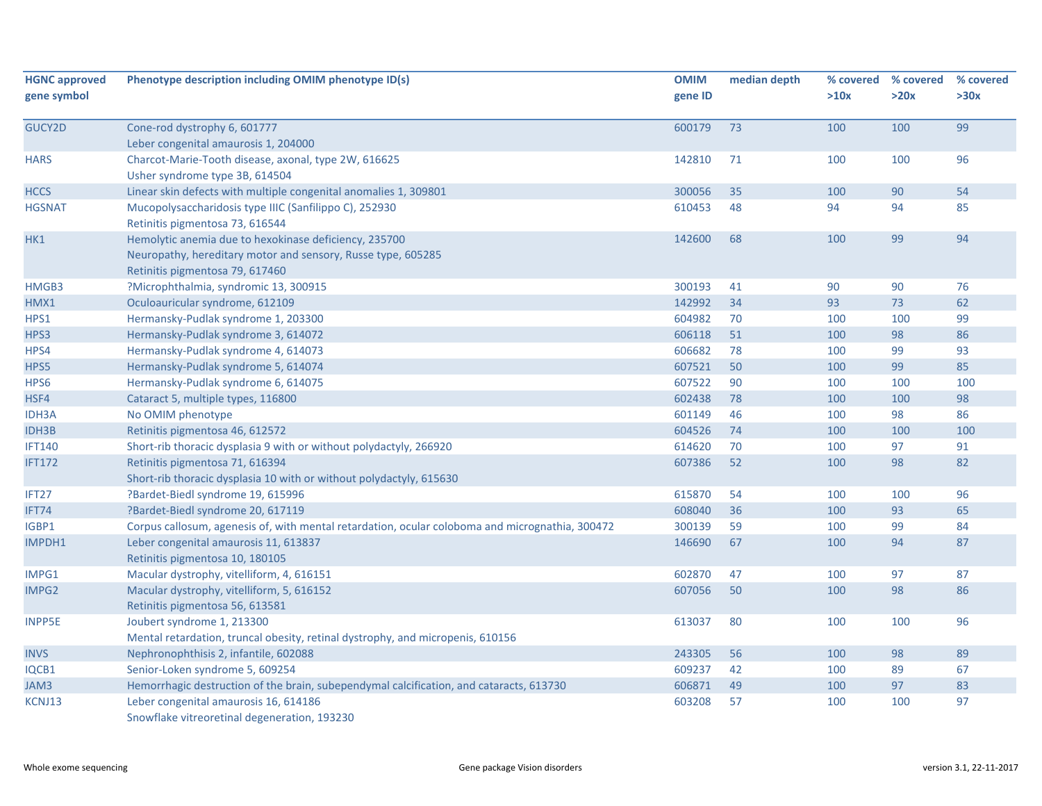| <b>HGNC approved</b><br>gene symbol | Phenotype description including OMIM phenotype ID(s)                                                                                                     | <b>OMIM</b><br>gene ID | median depth | % covered<br>>10x | % covered<br>>20x | % covered<br>>30x |
|-------------------------------------|----------------------------------------------------------------------------------------------------------------------------------------------------------|------------------------|--------------|-------------------|-------------------|-------------------|
| GUCY2D                              | Cone-rod dystrophy 6, 601777<br>Leber congenital amaurosis 1, 204000                                                                                     | 600179                 | 73           | 100               | 100               | 99                |
| <b>HARS</b>                         | Charcot-Marie-Tooth disease, axonal, type 2W, 616625<br>Usher syndrome type 3B, 614504                                                                   | 142810                 | 71           | 100               | 100               | 96                |
| <b>HCCS</b>                         | Linear skin defects with multiple congenital anomalies 1, 309801                                                                                         | 300056                 | 35           | 100               | 90                | 54                |
| <b>HGSNAT</b>                       | Mucopolysaccharidosis type IIIC (Sanfilippo C), 252930<br>Retinitis pigmentosa 73, 616544                                                                | 610453                 | 48           | 94                | 94                | 85                |
| HK1                                 | Hemolytic anemia due to hexokinase deficiency, 235700<br>Neuropathy, hereditary motor and sensory, Russe type, 605285<br>Retinitis pigmentosa 79, 617460 | 142600                 | 68           | 100               | 99                | 94                |
| HMGB3                               | ?Microphthalmia, syndromic 13, 300915                                                                                                                    | 300193                 | 41           | 90                | 90                | 76                |
| HMX1                                | Oculoauricular syndrome, 612109                                                                                                                          | 142992                 | 34           | 93                | 73                | 62                |
| HPS1                                | Hermansky-Pudlak syndrome 1, 203300                                                                                                                      | 604982                 | 70           | 100               | 100               | 99                |
| HPS3                                | Hermansky-Pudlak syndrome 3, 614072                                                                                                                      | 606118                 | 51           | 100               | 98                | 86                |
| HPS4                                | Hermansky-Pudlak syndrome 4, 614073                                                                                                                      | 606682                 | 78           | 100               | 99                | 93                |
| HPS5                                | Hermansky-Pudlak syndrome 5, 614074                                                                                                                      | 607521                 | 50           | 100               | 99                | 85                |
| HPS6                                | Hermansky-Pudlak syndrome 6, 614075                                                                                                                      | 607522                 | 90           | 100               | 100               | 100               |
| HSF4                                | Cataract 5, multiple types, 116800                                                                                                                       | 602438                 | 78           | 100               | 100               | 98                |
| <b>IDH3A</b>                        | No OMIM phenotype                                                                                                                                        | 601149                 | 46           | 100               | 98                | 86                |
| <b>IDH3B</b>                        | Retinitis pigmentosa 46, 612572                                                                                                                          | 604526                 | 74           | 100               | 100               | 100               |
| <b>IFT140</b>                       | Short-rib thoracic dysplasia 9 with or without polydactyly, 266920                                                                                       | 614620                 | 70           | 100               | 97                | 91                |
| <b>IFT172</b>                       | Retinitis pigmentosa 71, 616394<br>Short-rib thoracic dysplasia 10 with or without polydactyly, 615630                                                   | 607386                 | 52           | 100               | 98                | 82                |
| IFT27                               | ?Bardet-Biedl syndrome 19, 615996                                                                                                                        | 615870                 | 54           | 100               | 100               | 96                |
| IFT74                               | ?Bardet-Biedl syndrome 20, 617119                                                                                                                        | 608040                 | 36           | 100               | 93                | 65                |
| IGBP1                               | Corpus callosum, agenesis of, with mental retardation, ocular coloboma and micrognathia, 300472                                                          | 300139                 | 59           | 100               | 99                | 84                |
| IMPDH1                              | Leber congenital amaurosis 11, 613837<br>Retinitis pigmentosa 10, 180105                                                                                 | 146690                 | 67           | 100               | 94                | 87                |
| IMPG1                               | Macular dystrophy, vitelliform, 4, 616151                                                                                                                | 602870                 | 47           | 100               | 97                | 87                |
| IMPG2                               | Macular dystrophy, vitelliform, 5, 616152<br>Retinitis pigmentosa 56, 613581                                                                             | 607056                 | 50           | 100               | 98                | 86                |
| <b>INPP5E</b>                       | Joubert syndrome 1, 213300<br>Mental retardation, truncal obesity, retinal dystrophy, and micropenis, 610156                                             | 613037                 | 80           | 100               | 100               | 96                |
| <b>INVS</b>                         | Nephronophthisis 2, infantile, 602088                                                                                                                    | 243305                 | 56           | 100               | 98                | 89                |
| IQCB1                               | Senior-Loken syndrome 5, 609254                                                                                                                          | 609237                 | 42           | 100               | 89                | 67                |
| JAM3                                | Hemorrhagic destruction of the brain, subependymal calcification, and cataracts, 613730                                                                  | 606871                 | 49           | 100               | 97                | 83                |
| KCNJ13                              | Leber congenital amaurosis 16, 614186<br>Snowflake vitreoretinal degeneration, 193230                                                                    | 603208                 | 57           | 100               | 100               | 97                |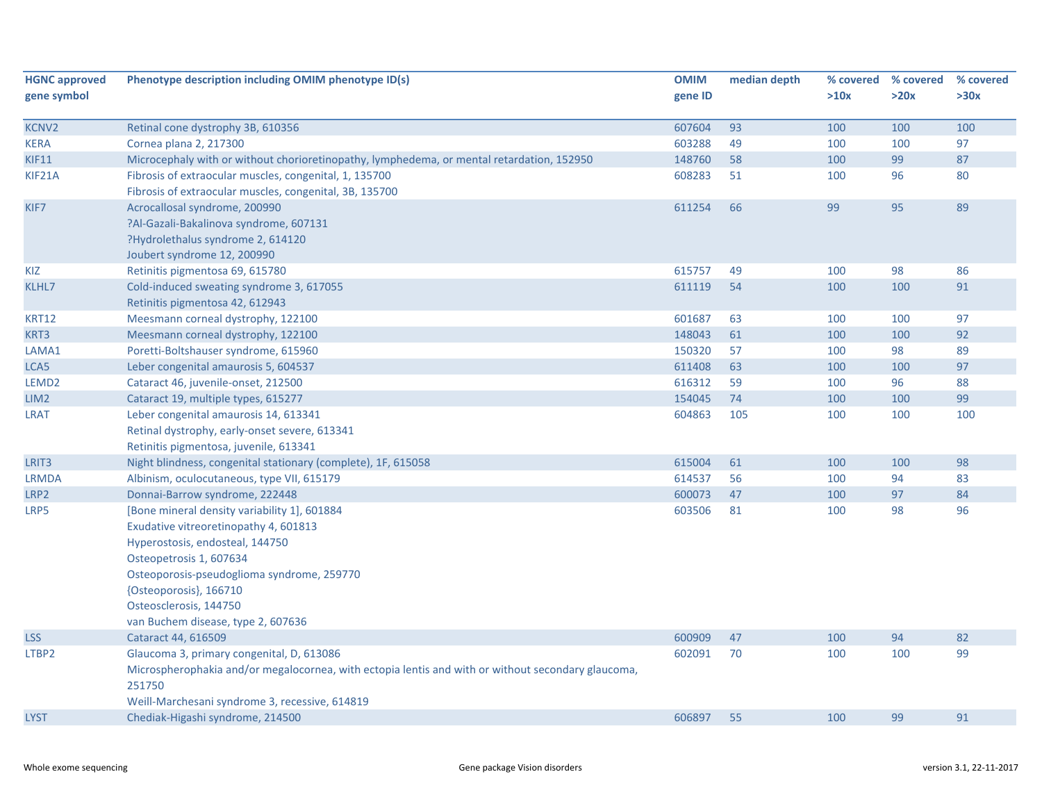| <b>HGNC approved</b> | Phenotype description including OMIM phenotype ID(s)                                                                                                                                                                                                                                        | <b>OMIM</b> | median depth | % covered | % covered | % covered |
|----------------------|---------------------------------------------------------------------------------------------------------------------------------------------------------------------------------------------------------------------------------------------------------------------------------------------|-------------|--------------|-----------|-----------|-----------|
| gene symbol          |                                                                                                                                                                                                                                                                                             | gene ID     |              | >10x      | >20x      | >30x      |
| <b>KCNV2</b>         | Retinal cone dystrophy 3B, 610356                                                                                                                                                                                                                                                           | 607604      | 93           | 100       | 100       | 100       |
| <b>KERA</b>          | Cornea plana 2, 217300                                                                                                                                                                                                                                                                      | 603288      | 49           | 100       | 100       | 97        |
| <b>KIF11</b>         | Microcephaly with or without chorioretinopathy, lymphedema, or mental retardation, 152950                                                                                                                                                                                                   | 148760      | 58           | 100       | 99        | 87        |
| KIF21A               | Fibrosis of extraocular muscles, congenital, 1, 135700<br>Fibrosis of extraocular muscles, congenital, 3B, 135700                                                                                                                                                                           | 608283      | 51           | 100       | 96        | 80        |
| KIF7                 | Acrocallosal syndrome, 200990<br>?Al-Gazali-Bakalinova syndrome, 607131<br>?Hydrolethalus syndrome 2, 614120<br>Joubert syndrome 12, 200990                                                                                                                                                 | 611254      | 66           | 99        | 95        | 89        |
| KIZ                  | Retinitis pigmentosa 69, 615780                                                                                                                                                                                                                                                             | 615757      | 49           | 100       | 98        | 86        |
| KLHL7                | Cold-induced sweating syndrome 3, 617055<br>Retinitis pigmentosa 42, 612943                                                                                                                                                                                                                 | 611119      | 54           | 100       | 100       | 91        |
| <b>KRT12</b>         | Meesmann corneal dystrophy, 122100                                                                                                                                                                                                                                                          | 601687      | 63           | 100       | 100       | 97        |
| KRT3                 | Meesmann corneal dystrophy, 122100                                                                                                                                                                                                                                                          | 148043      | 61           | 100       | 100       | 92        |
| LAMA1                | Poretti-Boltshauser syndrome, 615960                                                                                                                                                                                                                                                        | 150320      | 57           | 100       | 98        | 89        |
| LCA5                 | Leber congenital amaurosis 5, 604537                                                                                                                                                                                                                                                        | 611408      | 63           | 100       | 100       | 97        |
| LEMD <sub>2</sub>    | Cataract 46, juvenile-onset, 212500                                                                                                                                                                                                                                                         | 616312      | 59           | 100       | 96        | 88        |
| LIM <sub>2</sub>     | Cataract 19, multiple types, 615277                                                                                                                                                                                                                                                         | 154045      | 74           | 100       | 100       | 99        |
| <b>LRAT</b>          | Leber congenital amaurosis 14, 613341<br>Retinal dystrophy, early-onset severe, 613341<br>Retinitis pigmentosa, juvenile, 613341                                                                                                                                                            | 604863      | 105          | 100       | 100       | 100       |
| LRIT <sub>3</sub>    | Night blindness, congenital stationary (complete), 1F, 615058                                                                                                                                                                                                                               | 615004      | 61           | 100       | 100       | 98        |
| <b>LRMDA</b>         | Albinism, oculocutaneous, type VII, 615179                                                                                                                                                                                                                                                  | 614537      | 56           | 100       | 94        | 83        |
| LRP2                 | Donnai-Barrow syndrome, 222448                                                                                                                                                                                                                                                              | 600073      | 47           | 100       | 97        | 84        |
| LRP5                 | [Bone mineral density variability 1], 601884<br>Exudative vitreoretinopathy 4, 601813<br>Hyperostosis, endosteal, 144750<br>Osteopetrosis 1, 607634<br>Osteoporosis-pseudoglioma syndrome, 259770<br>{Osteoporosis}, 166710<br>Osteosclerosis, 144750<br>van Buchem disease, type 2, 607636 | 603506      | 81           | 100       | 98        | 96        |
| <b>LSS</b>           | Cataract 44, 616509                                                                                                                                                                                                                                                                         | 600909      | 47           | 100       | 94        | 82        |
| LTBP2                | Glaucoma 3, primary congenital, D, 613086<br>Microspherophakia and/or megalocornea, with ectopia lentis and with or without secondary glaucoma,<br>251750<br>Weill-Marchesani syndrome 3, recessive, 614819                                                                                 | 602091      | 70           | 100       | 100       | 99        |
| <b>LYST</b>          | Chediak-Higashi syndrome, 214500                                                                                                                                                                                                                                                            | 606897      | 55           | 100       | 99        | 91        |
|                      |                                                                                                                                                                                                                                                                                             |             |              |           |           |           |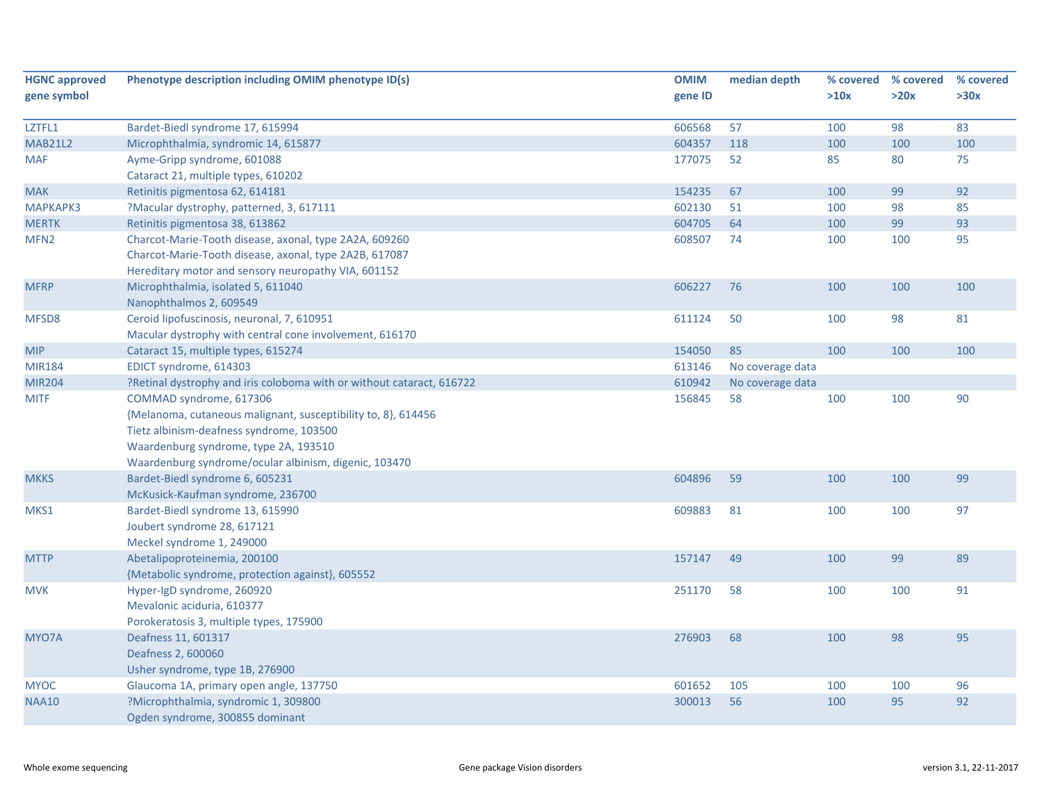| <b>HGNC approved</b> | Phenotype description including OMIM phenotype ID(s)                                                                                                                                                                                   | <b>OMIM</b> | median depth     | % covered | % covered | % covered |
|----------------------|----------------------------------------------------------------------------------------------------------------------------------------------------------------------------------------------------------------------------------------|-------------|------------------|-----------|-----------|-----------|
| gene symbol          |                                                                                                                                                                                                                                        | gene ID     |                  | >10x      | >20x      | >30x      |
| LZTFL1               | Bardet-Biedl syndrome 17, 615994                                                                                                                                                                                                       | 606568      | 57               | 100       | 98        | 83        |
| <b>MAB21L2</b>       | Microphthalmia, syndromic 14, 615877                                                                                                                                                                                                   | 604357      | 118              | 100       | 100       | 100       |
| <b>MAF</b>           | Ayme-Gripp syndrome, 601088                                                                                                                                                                                                            | 177075      | 52               | 85        | 80        | 75        |
|                      | Cataract 21, multiple types, 610202                                                                                                                                                                                                    |             |                  |           |           |           |
| <b>MAK</b>           | Retinitis pigmentosa 62, 614181                                                                                                                                                                                                        | 154235      | 67               | 100       | 99        | 92        |
| <b>МАРКАРКЗ</b>      | ?Macular dystrophy, patterned, 3, 617111                                                                                                                                                                                               | 602130      | 51               | 100       | 98        | 85        |
| <b>MERTK</b>         | Retinitis pigmentosa 38, 613862                                                                                                                                                                                                        | 604705      | 64               | 100       | 99        | 93        |
| MFN <sub>2</sub>     | Charcot-Marie-Tooth disease, axonal, type 2A2A, 609260<br>Charcot-Marie-Tooth disease, axonal, type 2A2B, 617087<br>Hereditary motor and sensory neuropathy VIA, 601152                                                                | 608507      | 74               | 100       | 100       | 95        |
| <b>MFRP</b>          | Microphthalmia, isolated 5, 611040<br>Nanophthalmos 2, 609549                                                                                                                                                                          | 606227      | 76               | 100       | 100       | 100       |
| MFSD8                | Ceroid lipofuscinosis, neuronal, 7, 610951<br>Macular dystrophy with central cone involvement, 616170                                                                                                                                  | 611124      | 50               | 100       | 98        | 81        |
| <b>MIP</b>           | Cataract 15, multiple types, 615274                                                                                                                                                                                                    | 154050      | 85               | 100       | 100       | 100       |
| <b>MIR184</b>        | EDICT syndrome, 614303                                                                                                                                                                                                                 | 613146      | No coverage data |           |           |           |
| <b>MIR204</b>        | ?Retinal dystrophy and iris coloboma with or without cataract, 616722                                                                                                                                                                  | 610942      | No coverage data |           |           |           |
| <b>MITF</b>          | COMMAD syndrome, 617306<br>{Melanoma, cutaneous malignant, susceptibility to, 8}, 614456<br>Tietz albinism-deafness syndrome, 103500<br>Waardenburg syndrome, type 2A, 193510<br>Waardenburg syndrome/ocular albinism, digenic, 103470 | 156845      | 58               | 100       | 100       | 90        |
| <b>MKKS</b>          | Bardet-Biedl syndrome 6, 605231<br>McKusick-Kaufman syndrome, 236700                                                                                                                                                                   | 604896      | 59               | 100       | 100       | 99        |
| MKS1                 | Bardet-Biedl syndrome 13, 615990<br>Joubert syndrome 28, 617121<br>Meckel syndrome 1, 249000                                                                                                                                           | 609883      | 81               | 100       | 100       | 97        |
| <b>MTTP</b>          | Abetalipoproteinemia, 200100<br>{Metabolic syndrome, protection against}, 605552                                                                                                                                                       | 157147      | 49               | 100       | 99        | 89        |
| <b>MVK</b>           | Hyper-IgD syndrome, 260920<br>Mevalonic aciduria, 610377<br>Porokeratosis 3, multiple types, 175900                                                                                                                                    | 251170      | 58               | 100       | 100       | 91        |
| MYO7A                | Deafness 11, 601317<br>Deafness 2, 600060<br>Usher syndrome, type 1B, 276900                                                                                                                                                           | 276903      | 68               | 100       | 98        | 95        |
| <b>MYOC</b>          | Glaucoma 1A, primary open angle, 137750                                                                                                                                                                                                | 601652      | 105              | 100       | 100       | 96        |
| <b>NAA10</b>         | ?Microphthalmia, syndromic 1, 309800<br>Ogden syndrome, 300855 dominant                                                                                                                                                                | 300013      | 56               | 100       | 95        | 92        |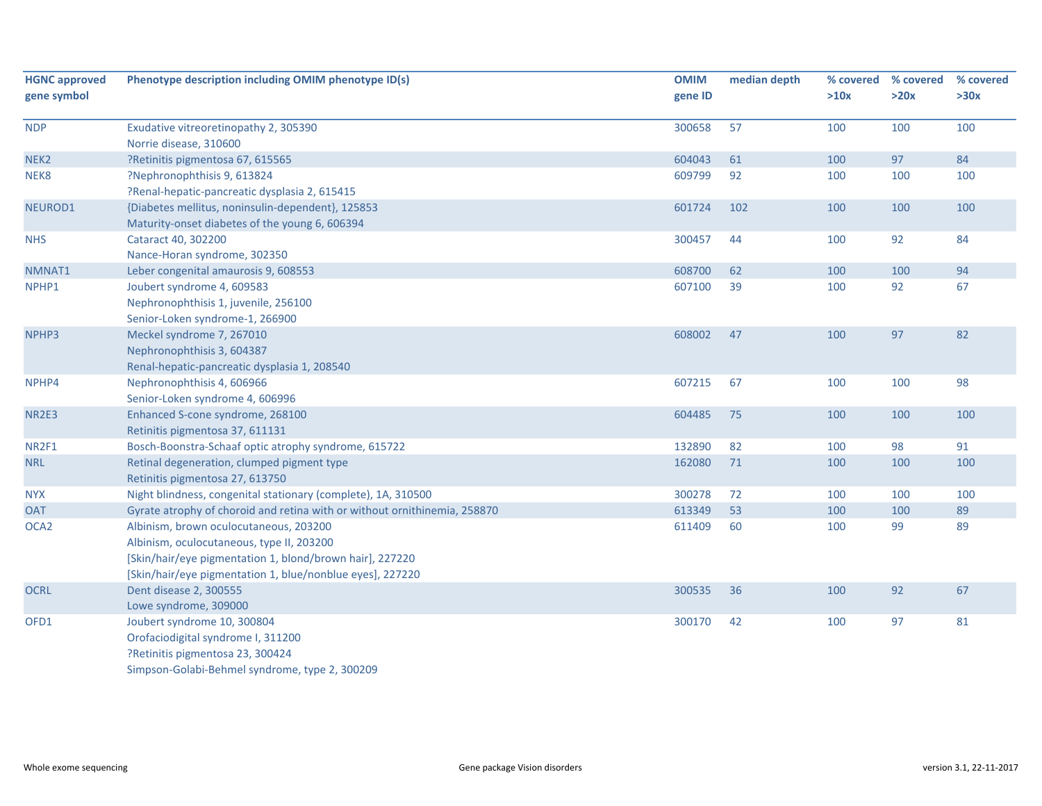| <b>HGNC approved</b><br>gene symbol | Phenotype description including OMIM phenotype ID(s)                                                                                                                                                         | <b>OMIM</b><br>gene ID | median depth | % covered<br>>10x | % covered<br>>20x | % covered<br>>30x |
|-------------------------------------|--------------------------------------------------------------------------------------------------------------------------------------------------------------------------------------------------------------|------------------------|--------------|-------------------|-------------------|-------------------|
| <b>NDP</b>                          | Exudative vitreoretinopathy 2, 305390<br>Norrie disease, 310600                                                                                                                                              | 300658                 | 57           | 100               | 100               | 100               |
| NEK <sub>2</sub>                    | ?Retinitis pigmentosa 67, 615565                                                                                                                                                                             | 604043                 | 61           | 100               | 97                | 84                |
| NEK8                                | ?Nephronophthisis 9, 613824<br>?Renal-hepatic-pancreatic dysplasia 2, 615415                                                                                                                                 | 609799                 | 92           | 100               | 100               | 100               |
| NEUROD1                             | {Diabetes mellitus, noninsulin-dependent}, 125853<br>Maturity-onset diabetes of the young 6, 606394                                                                                                          | 601724                 | 102          | 100               | 100               | 100               |
| <b>NHS</b>                          | Cataract 40, 302200<br>Nance-Horan syndrome, 302350                                                                                                                                                          | 300457                 | 44           | 100               | 92                | 84                |
| NMNAT1                              | Leber congenital amaurosis 9, 608553                                                                                                                                                                         | 608700                 | 62           | 100               | 100               | 94                |
| NPHP1                               | Joubert syndrome 4, 609583<br>Nephronophthisis 1, juvenile, 256100<br>Senior-Loken syndrome-1, 266900                                                                                                        | 607100                 | 39           | 100               | 92                | 67                |
| NPHP3                               | Meckel syndrome 7, 267010<br>Nephronophthisis 3, 604387<br>Renal-hepatic-pancreatic dysplasia 1, 208540                                                                                                      | 608002                 | 47           | 100               | 97                | 82                |
| NPHP4                               | Nephronophthisis 4, 606966<br>Senior-Loken syndrome 4, 606996                                                                                                                                                | 607215                 | 67           | 100               | 100               | 98                |
| NR2E3                               | Enhanced S-cone syndrome, 268100<br>Retinitis pigmentosa 37, 611131                                                                                                                                          | 604485                 | 75           | 100               | 100               | 100               |
| NR2F1                               | Bosch-Boonstra-Schaaf optic atrophy syndrome, 615722                                                                                                                                                         | 132890                 | 82           | 100               | 98                | 91                |
| <b>NRL</b>                          | Retinal degeneration, clumped pigment type<br>Retinitis pigmentosa 27, 613750                                                                                                                                | 162080                 | 71           | 100               | 100               | 100               |
| <b>NYX</b>                          | Night blindness, congenital stationary (complete), 1A, 310500                                                                                                                                                | 300278                 | 72           | 100               | 100               | 100               |
| <b>OAT</b>                          | Gyrate atrophy of choroid and retina with or without ornithinemia, 258870                                                                                                                                    | 613349                 | 53           | 100               | 100               | 89                |
| OCA <sub>2</sub>                    | Albinism, brown oculocutaneous, 203200<br>Albinism, oculocutaneous, type II, 203200<br>[Skin/hair/eye pigmentation 1, blond/brown hair], 227220<br>[Skin/hair/eye pigmentation 1, blue/nonblue eyes], 227220 | 611409                 | 60           | 100               | 99                | 89                |
| <b>OCRL</b>                         | Dent disease 2, 300555<br>Lowe syndrome, 309000                                                                                                                                                              | 300535                 | 36           | 100               | 92                | 67                |
| OFD1                                | Joubert syndrome 10, 300804<br>Orofaciodigital syndrome I, 311200<br>?Retinitis pigmentosa 23, 300424<br>Simpson-Golabi-Behmel syndrome, type 2, 300209                                                      | 300170                 | 42           | 100               | 97                | 81                |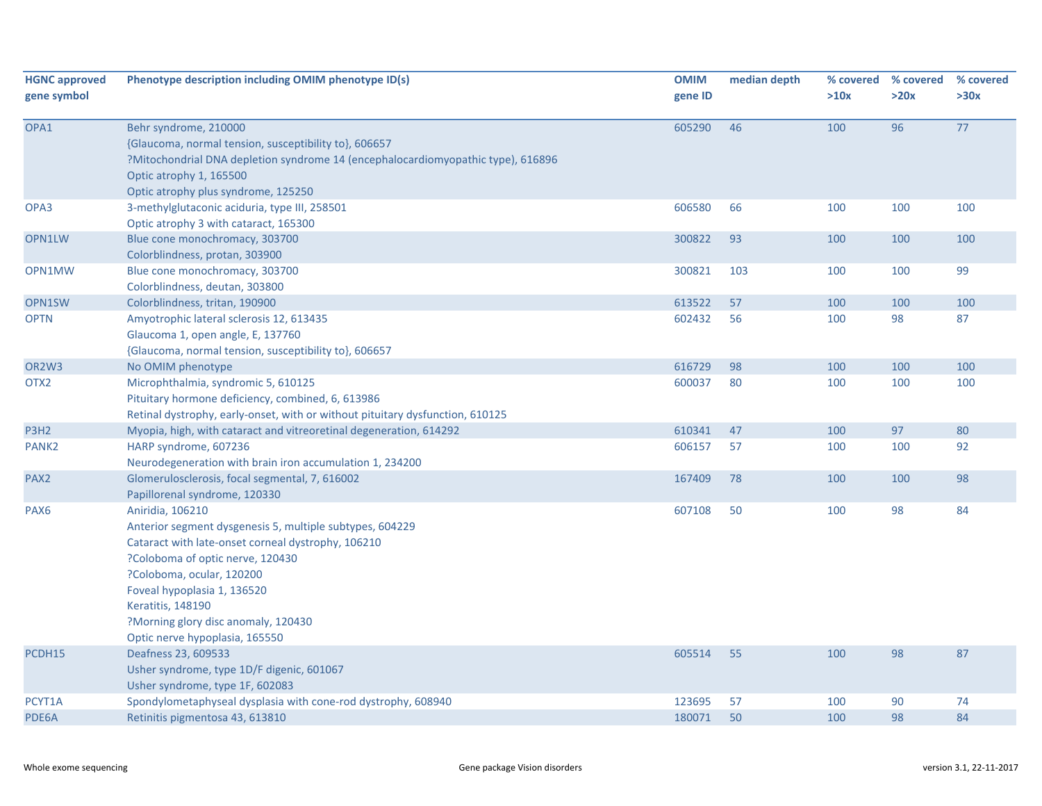| <b>HGNC approved</b>           | Phenotype description including OMIM phenotype ID(s)                                                                                                                                                                                                                                                                             | <b>OMIM</b> | median depth |      | % covered % covered | % covered |
|--------------------------------|----------------------------------------------------------------------------------------------------------------------------------------------------------------------------------------------------------------------------------------------------------------------------------------------------------------------------------|-------------|--------------|------|---------------------|-----------|
| gene symbol                    |                                                                                                                                                                                                                                                                                                                                  | gene ID     |              | >10x | >20x                | >30x      |
| OPA1                           | Behr syndrome, 210000<br>{Glaucoma, normal tension, susceptibility to}, 606657<br>?Mitochondrial DNA depletion syndrome 14 (encephalocardiomyopathic type), 616896<br>Optic atrophy 1, 165500<br>Optic atrophy plus syndrome, 125250                                                                                             | 605290      | 46           | 100  | 96                  | 77        |
| OPA3                           | 3-methylglutaconic aciduria, type III, 258501<br>Optic atrophy 3 with cataract, 165300                                                                                                                                                                                                                                           | 606580      | 66           | 100  | 100                 | 100       |
| OPN1LW                         | Blue cone monochromacy, 303700<br>Colorblindness, protan, 303900                                                                                                                                                                                                                                                                 | 300822      | 93           | 100  | 100                 | 100       |
| OPN1MW                         | Blue cone monochromacy, 303700<br>Colorblindness, deutan, 303800                                                                                                                                                                                                                                                                 | 300821      | 103          | 100  | 100                 | 99        |
| OPN1SW                         | Colorblindness, tritan, 190900                                                                                                                                                                                                                                                                                                   | 613522      | 57           | 100  | 100                 | 100       |
| <b>OPTN</b>                    | Amyotrophic lateral sclerosis 12, 613435<br>Glaucoma 1, open angle, E, 137760<br>{Glaucoma, normal tension, susceptibility to}, 606657                                                                                                                                                                                           | 602432      | 56           | 100  | 98                  | 87        |
| OR <sub>2</sub> W <sub>3</sub> | No OMIM phenotype                                                                                                                                                                                                                                                                                                                | 616729      | 98           | 100  | 100                 | 100       |
| OTX <sub>2</sub>               | Microphthalmia, syndromic 5, 610125<br>Pituitary hormone deficiency, combined, 6, 613986<br>Retinal dystrophy, early-onset, with or without pituitary dysfunction, 610125                                                                                                                                                        | 600037      | 80           | 100  | 100                 | 100       |
| P3H <sub>2</sub>               | Myopia, high, with cataract and vitreoretinal degeneration, 614292                                                                                                                                                                                                                                                               | 610341      | 47           | 100  | 97                  | 80        |
| PANK <sub>2</sub>              | HARP syndrome, 607236<br>Neurodegeneration with brain iron accumulation 1, 234200                                                                                                                                                                                                                                                | 606157      | 57           | 100  | 100                 | 92        |
| PAX <sub>2</sub>               | Glomerulosclerosis, focal segmental, 7, 616002<br>Papillorenal syndrome, 120330                                                                                                                                                                                                                                                  | 167409      | 78           | 100  | 100                 | 98        |
| PAX <sub>6</sub>               | Aniridia, 106210<br>Anterior segment dysgenesis 5, multiple subtypes, 604229<br>Cataract with late-onset corneal dystrophy, 106210<br>?Coloboma of optic nerve, 120430<br>?Coloboma, ocular, 120200<br>Foveal hypoplasia 1, 136520<br>Keratitis, 148190<br>?Morning glory disc anomaly, 120430<br>Optic nerve hypoplasia, 165550 | 607108      | 50           | 100  | 98                  | 84        |
| PCDH15                         | Deafness 23, 609533<br>Usher syndrome, type 1D/F digenic, 601067<br>Usher syndrome, type 1F, 602083                                                                                                                                                                                                                              | 605514      | 55           | 100  | 98                  | 87        |
| PCYT1A                         | Spondylometaphyseal dysplasia with cone-rod dystrophy, 608940                                                                                                                                                                                                                                                                    | 123695      | 57           | 100  | 90                  | 74        |
| PDE6A                          | Retinitis pigmentosa 43, 613810                                                                                                                                                                                                                                                                                                  | 180071      | 50           | 100  | 98                  | 84        |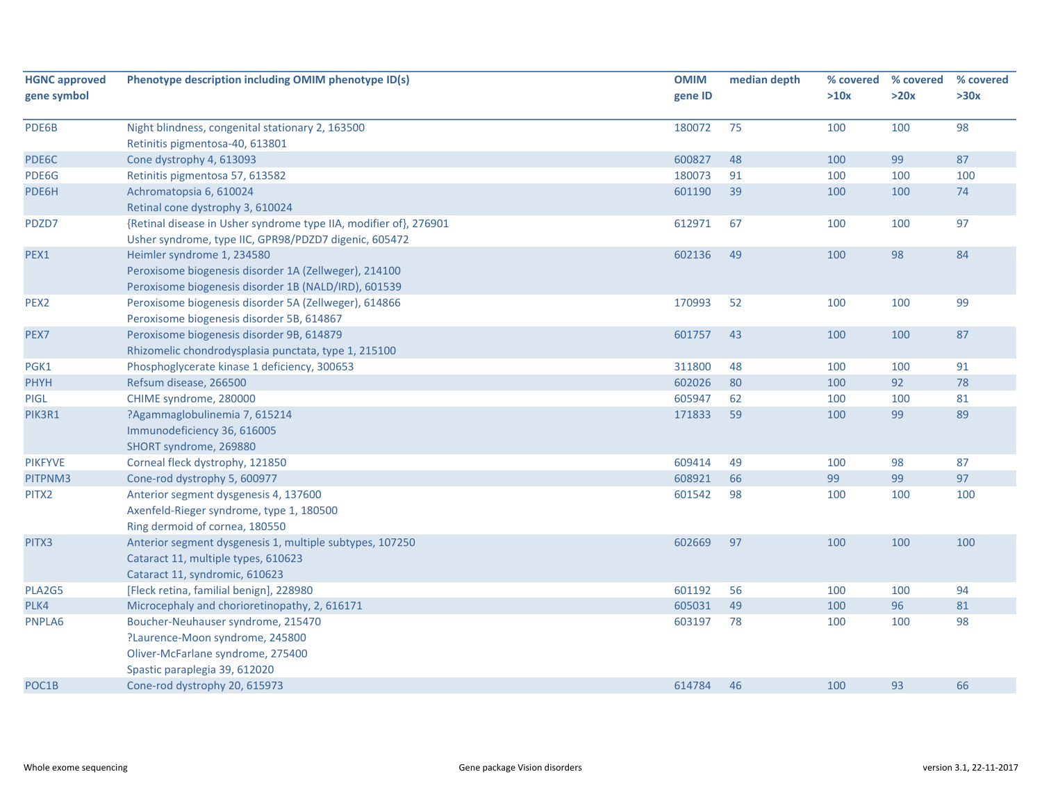| <b>HGNC approved</b> | Phenotype description including OMIM phenotype ID(s)              | <b>OMIM</b> | median depth | % covered | % covered | % covered |
|----------------------|-------------------------------------------------------------------|-------------|--------------|-----------|-----------|-----------|
| gene symbol          |                                                                   | gene ID     |              | >10x      | >20x      | >30x      |
| PDE6B                | Night blindness, congenital stationary 2, 163500                  | 180072      | 75           | 100       | 100       | 98        |
|                      | Retinitis pigmentosa-40, 613801                                   |             |              |           |           |           |
| PDE6C                | Cone dystrophy 4, 613093                                          | 600827      | 48           | 100       | 99        | 87        |
| PDE6G                | Retinitis pigmentosa 57, 613582                                   | 180073      | 91           | 100       | 100       | 100       |
| PDE6H                | Achromatopsia 6, 610024                                           | 601190      | 39           | 100       | 100       | 74        |
|                      | Retinal cone dystrophy 3, 610024                                  |             |              |           |           |           |
| PDZD7                | {Retinal disease in Usher syndrome type IIA, modifier of}, 276901 | 612971      | 67           | 100       | 100       | 97        |
|                      | Usher syndrome, type IIC, GPR98/PDZD7 digenic, 605472             |             |              |           |           |           |
| PEX1                 | Heimler syndrome 1, 234580                                        | 602136      | 49           | 100       | 98        | 84        |
|                      | Peroxisome biogenesis disorder 1A (Zellweger), 214100             |             |              |           |           |           |
|                      | Peroxisome biogenesis disorder 1B (NALD/IRD), 601539              |             |              |           |           |           |
| PEX <sub>2</sub>     | Peroxisome biogenesis disorder 5A (Zellweger), 614866             | 170993      | 52           | 100       | 100       | 99        |
|                      | Peroxisome biogenesis disorder 5B, 614867                         |             |              |           |           |           |
| PEX7                 | Peroxisome biogenesis disorder 9B, 614879                         | 601757      | 43           | 100       | 100       | 87        |
|                      | Rhizomelic chondrodysplasia punctata, type 1, 215100              |             |              |           |           |           |
| PGK1                 | Phosphoglycerate kinase 1 deficiency, 300653                      | 311800      | 48           | 100       | 100       | 91        |
| <b>PHYH</b>          | Refsum disease, 266500                                            | 602026      | 80           | 100       | 92        | 78        |
| PIGL                 | CHIME syndrome, 280000                                            | 605947      | 62           | 100       | 100       | 81        |
| PIK3R1               | ?Agammaglobulinemia 7, 615214                                     | 171833      | 59           | 100       | 99        | 89        |
|                      | Immunodeficiency 36, 616005                                       |             |              |           |           |           |
|                      | SHORT syndrome, 269880                                            |             |              |           |           |           |
| <b>PIKFYVE</b>       | Corneal fleck dystrophy, 121850                                   | 609414      | 49           | 100       | 98        | 87        |
| PITPNM3              | Cone-rod dystrophy 5, 600977                                      | 608921      | 66           | 99        | 99        | 97        |
| PITX2                | Anterior segment dysgenesis 4, 137600                             | 601542      | 98           | 100       | 100       | 100       |
|                      | Axenfeld-Rieger syndrome, type 1, 180500                          |             |              |           |           |           |
|                      | Ring dermoid of cornea, 180550                                    |             |              |           |           |           |
| PITX3                | Anterior segment dysgenesis 1, multiple subtypes, 107250          | 602669      | 97           | 100       | 100       | 100       |
|                      | Cataract 11, multiple types, 610623                               |             |              |           |           |           |
|                      | Cataract 11, syndromic, 610623                                    |             |              |           |           |           |
| PLA2G5               | [Fleck retina, familial benign], 228980                           | 601192      | 56           | 100       | 100       | 94        |
| PLK4                 | Microcephaly and chorioretinopathy, 2, 616171                     | 605031      | 49           | 100       | 96        | 81        |
| PNPLA6               | Boucher-Neuhauser syndrome, 215470                                | 603197      | 78           | 100       | 100       | 98        |
|                      | ?Laurence-Moon syndrome, 245800                                   |             |              |           |           |           |
|                      | Oliver-McFarlane syndrome, 275400                                 |             |              |           |           |           |
|                      | Spastic paraplegia 39, 612020                                     |             |              |           |           |           |
| POC1B                | Cone-rod dystrophy 20, 615973                                     | 614784      | 46           | 100       | 93        | 66        |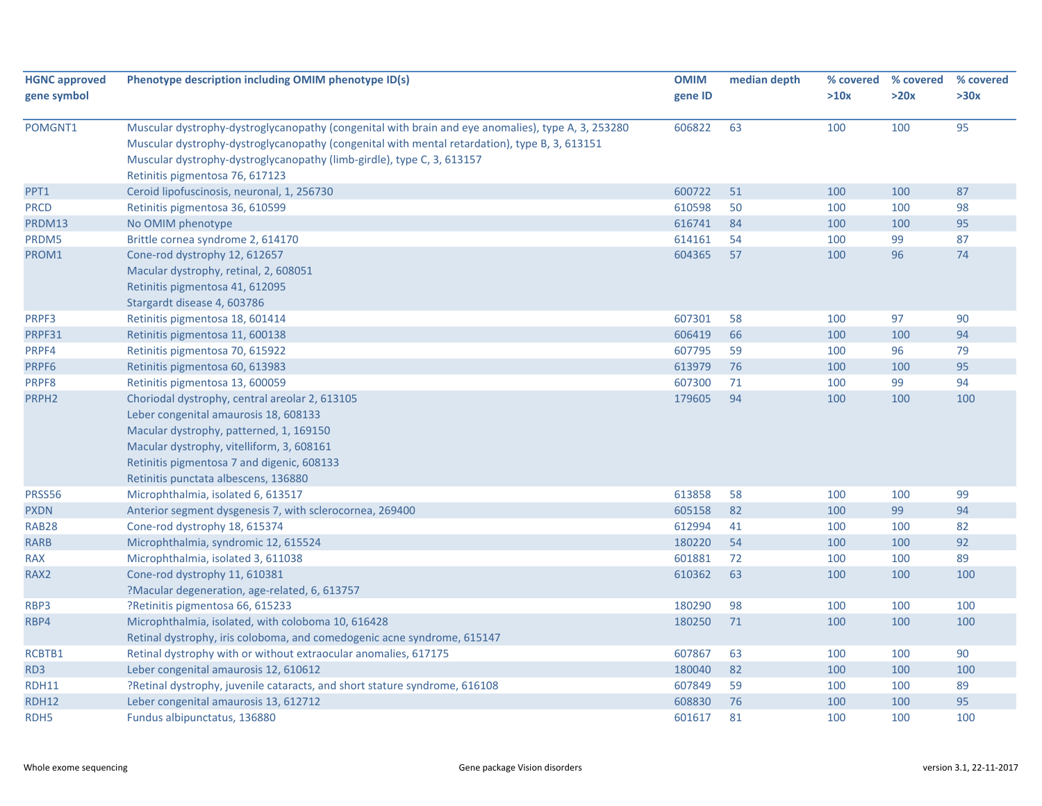| <b>HGNC approved</b> | Phenotype description including OMIM phenotype ID(s)                                                                                                                                                                                                                                                             | <b>OMIM</b> | median depth |      | % covered % covered | % covered |
|----------------------|------------------------------------------------------------------------------------------------------------------------------------------------------------------------------------------------------------------------------------------------------------------------------------------------------------------|-------------|--------------|------|---------------------|-----------|
| gene symbol          |                                                                                                                                                                                                                                                                                                                  | gene ID     |              | >10x | >20x                | >30x      |
| POMGNT1              | Muscular dystrophy-dystroglycanopathy (congenital with brain and eye anomalies), type A, 3, 253280<br>Muscular dystrophy-dystroglycanopathy (congenital with mental retardation), type B, 3, 613151<br>Muscular dystrophy-dystroglycanopathy (limb-girdle), type C, 3, 613157<br>Retinitis pigmentosa 76, 617123 | 606822      | 63           | 100  | 100                 | 95        |
| PPT1                 | Ceroid lipofuscinosis, neuronal, 1, 256730                                                                                                                                                                                                                                                                       | 600722      | 51           | 100  | 100                 | 87        |
| <b>PRCD</b>          | Retinitis pigmentosa 36, 610599                                                                                                                                                                                                                                                                                  | 610598      | 50           | 100  | 100                 | 98        |
| PRDM13               | No OMIM phenotype                                                                                                                                                                                                                                                                                                | 616741      | 84           | 100  | 100                 | 95        |
| PRDM5                | Brittle cornea syndrome 2, 614170                                                                                                                                                                                                                                                                                | 614161      | 54           | 100  | 99                  | 87        |
| PROM1                | Cone-rod dystrophy 12, 612657                                                                                                                                                                                                                                                                                    | 604365      | 57           | 100  | 96                  | 74        |
|                      | Macular dystrophy, retinal, 2, 608051                                                                                                                                                                                                                                                                            |             |              |      |                     |           |
|                      | Retinitis pigmentosa 41, 612095                                                                                                                                                                                                                                                                                  |             |              |      |                     |           |
|                      | Stargardt disease 4, 603786                                                                                                                                                                                                                                                                                      |             |              |      |                     |           |
| PRPF3                | Retinitis pigmentosa 18, 601414                                                                                                                                                                                                                                                                                  | 607301      | 58           | 100  | 97                  | 90        |
| PRPF31               | Retinitis pigmentosa 11, 600138                                                                                                                                                                                                                                                                                  | 606419      | 66           | 100  | 100                 | 94        |
| PRPF4                | Retinitis pigmentosa 70, 615922                                                                                                                                                                                                                                                                                  | 607795      | 59           | 100  | 96                  | 79        |
| PRPF6                | Retinitis pigmentosa 60, 613983                                                                                                                                                                                                                                                                                  | 613979      | 76           | 100  | 100                 | 95        |
| PRPF8                | Retinitis pigmentosa 13, 600059                                                                                                                                                                                                                                                                                  | 607300      | 71           | 100  | 99                  | 94        |
| PRPH <sub>2</sub>    | Choriodal dystrophy, central areolar 2, 613105                                                                                                                                                                                                                                                                   | 179605      | 94           | 100  | 100                 | 100       |
|                      | Leber congenital amaurosis 18, 608133                                                                                                                                                                                                                                                                            |             |              |      |                     |           |
|                      | Macular dystrophy, patterned, 1, 169150                                                                                                                                                                                                                                                                          |             |              |      |                     |           |
|                      | Macular dystrophy, vitelliform, 3, 608161                                                                                                                                                                                                                                                                        |             |              |      |                     |           |
|                      | Retinitis pigmentosa 7 and digenic, 608133                                                                                                                                                                                                                                                                       |             |              |      |                     |           |
|                      | Retinitis punctata albescens, 136880                                                                                                                                                                                                                                                                             |             |              |      |                     |           |
| PRSS56               | Microphthalmia, isolated 6, 613517                                                                                                                                                                                                                                                                               | 613858      | 58           | 100  | 100                 | 99        |
| <b>PXDN</b>          | Anterior segment dysgenesis 7, with sclerocornea, 269400                                                                                                                                                                                                                                                         | 605158      | 82           | 100  | 99                  | 94        |
| <b>RAB28</b>         | Cone-rod dystrophy 18, 615374                                                                                                                                                                                                                                                                                    | 612994      | 41           | 100  | 100                 | 82        |
| <b>RARB</b>          | Microphthalmia, syndromic 12, 615524                                                                                                                                                                                                                                                                             | 180220      | 54           | 100  | 100                 | 92        |
| <b>RAX</b>           | Microphthalmia, isolated 3, 611038                                                                                                                                                                                                                                                                               | 601881      | 72           | 100  | 100                 | 89        |
| RAX2                 | Cone-rod dystrophy 11, 610381                                                                                                                                                                                                                                                                                    | 610362      | 63           | 100  | 100                 | 100       |
|                      | ?Macular degeneration, age-related, 6, 613757                                                                                                                                                                                                                                                                    |             |              |      |                     |           |
| RBP3                 | ?Retinitis pigmentosa 66, 615233                                                                                                                                                                                                                                                                                 | 180290      | 98           | 100  | 100                 | 100       |
| RBP4                 | Microphthalmia, isolated, with coloboma 10, 616428                                                                                                                                                                                                                                                               | 180250      | 71           | 100  | 100                 | 100       |
|                      | Retinal dystrophy, iris coloboma, and comedogenic acne syndrome, 615147                                                                                                                                                                                                                                          |             |              |      |                     |           |
| RCBTB1               | Retinal dystrophy with or without extraocular anomalies, 617175                                                                                                                                                                                                                                                  | 607867      | 63           | 100  | 100                 | 90        |
| RD3                  | Leber congenital amaurosis 12, 610612                                                                                                                                                                                                                                                                            | 180040      | 82           | 100  | 100                 | 100       |
| <b>RDH11</b>         | ?Retinal dystrophy, juvenile cataracts, and short stature syndrome, 616108                                                                                                                                                                                                                                       | 607849      | 59           | 100  | 100                 | 89        |
| <b>RDH12</b>         | Leber congenital amaurosis 13, 612712                                                                                                                                                                                                                                                                            | 608830      | 76           | 100  | 100                 | 95        |
| RDH <sub>5</sub>     | Fundus albipunctatus, 136880                                                                                                                                                                                                                                                                                     | 601617      | 81           | 100  | 100                 | 100       |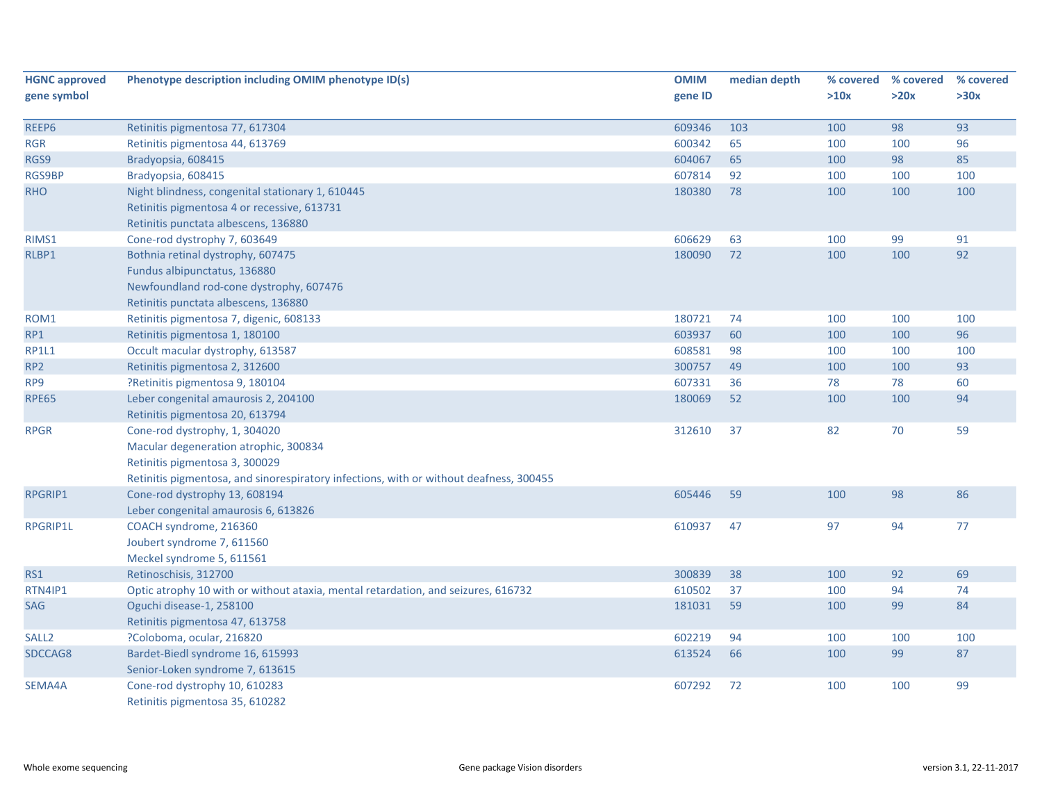| <b>HGNC approved</b> | Phenotype description including OMIM phenotype ID(s)                                   | <b>OMIM</b> | median depth | % covered | % covered | % covered |
|----------------------|----------------------------------------------------------------------------------------|-------------|--------------|-----------|-----------|-----------|
| gene symbol          |                                                                                        | gene ID     |              | >10x      | >20x      | >30x      |
| REEP6                | Retinitis pigmentosa 77, 617304                                                        | 609346      | 103          | 100       | 98        | 93        |
| <b>RGR</b>           | Retinitis pigmentosa 44, 613769                                                        | 600342      | 65           | 100       | 100       | 96        |
| RGS9                 | Bradyopsia, 608415                                                                     | 604067      | 65           | 100       | 98        | 85        |
| RGS9BP               | Bradyopsia, 608415                                                                     | 607814      | 92           | 100       | 100       | 100       |
| <b>RHO</b>           | Night blindness, congenital stationary 1, 610445                                       | 180380      | 78           | 100       | 100       | 100       |
|                      | Retinitis pigmentosa 4 or recessive, 613731                                            |             |              |           |           |           |
|                      | Retinitis punctata albescens, 136880                                                   |             |              |           |           |           |
| RIMS1                | Cone-rod dystrophy 7, 603649                                                           | 606629      | 63           | 100       | 99        | 91        |
| RLBP1                | Bothnia retinal dystrophy, 607475                                                      | 180090      | 72           | 100       | 100       | 92        |
|                      | Fundus albipunctatus, 136880                                                           |             |              |           |           |           |
|                      | Newfoundland rod-cone dystrophy, 607476                                                |             |              |           |           |           |
|                      | Retinitis punctata albescens, 136880                                                   |             |              |           |           |           |
| ROM1                 | Retinitis pigmentosa 7, digenic, 608133                                                | 180721      | 74           | 100       | 100       | 100       |
| RP1                  | Retinitis pigmentosa 1, 180100                                                         | 603937      | 60           | 100       | 100       | 96        |
| <b>RP1L1</b>         | Occult macular dystrophy, 613587                                                       | 608581      | 98           | 100       | 100       | 100       |
| RP <sub>2</sub>      | Retinitis pigmentosa 2, 312600                                                         | 300757      | 49           | 100       | 100       | 93        |
| RP9                  | ?Retinitis pigmentosa 9, 180104                                                        | 607331      | 36           | 78        | 78        | 60        |
| <b>RPE65</b>         | Leber congenital amaurosis 2, 204100                                                   | 180069      | 52           | 100       | 100       | 94        |
|                      | Retinitis pigmentosa 20, 613794                                                        |             |              |           |           |           |
| <b>RPGR</b>          | Cone-rod dystrophy, 1, 304020                                                          | 312610      | 37           | 82        | 70        | 59        |
|                      | Macular degeneration atrophic, 300834                                                  |             |              |           |           |           |
|                      | Retinitis pigmentosa 3, 300029                                                         |             |              |           |           |           |
|                      | Retinitis pigmentosa, and sinorespiratory infections, with or without deafness, 300455 |             |              |           |           |           |
| RPGRIP1              | Cone-rod dystrophy 13, 608194                                                          | 605446      | 59           | 100       | 98        | 86        |
|                      | Leber congenital amaurosis 6, 613826                                                   |             |              |           |           |           |
| RPGRIP1L             | COACH syndrome, 216360                                                                 | 610937      | 47           | 97        | 94        | 77        |
|                      | Joubert syndrome 7, 611560                                                             |             |              |           |           |           |
|                      | Meckel syndrome 5, 611561                                                              |             |              |           |           |           |
| RS1                  | Retinoschisis, 312700                                                                  | 300839      | 38           | 100       | 92        | 69        |
| RTN4IP1              | Optic atrophy 10 with or without ataxia, mental retardation, and seizures, 616732      | 610502      | 37           | 100       | 94        | 74        |
| <b>SAG</b>           | Oguchi disease-1, 258100                                                               | 181031      | 59           | 100       | 99        | 84        |
|                      | Retinitis pigmentosa 47, 613758                                                        |             |              |           |           |           |
| SALL <sub>2</sub>    | ?Coloboma, ocular, 216820                                                              | 602219      | 94           | 100       | 100       | 100       |
| SDCCAG8              | Bardet-Biedl syndrome 16, 615993                                                       | 613524      | 66           | 100       | 99        | 87        |
|                      | Senior-Loken syndrome 7, 613615                                                        |             |              |           |           |           |
| SEMA4A               | Cone-rod dystrophy 10, 610283                                                          | 607292      | 72           | 100       | 100       | 99        |
|                      | Retinitis pigmentosa 35, 610282                                                        |             |              |           |           |           |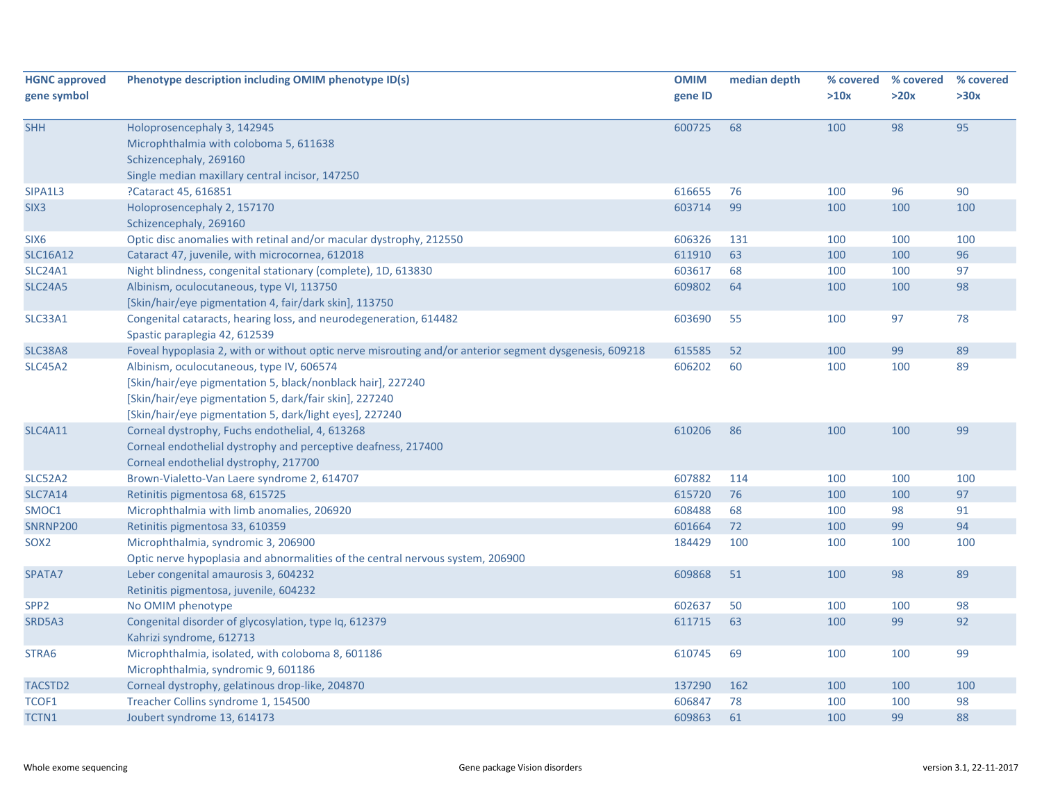| <b>HGNC approved</b><br>gene symbol | Phenotype description including OMIM phenotype ID(s)                                                                                                                                                                          | <b>OMIM</b><br>gene ID | median depth | >10x | % covered % covered<br>>20x | % covered<br>>30x |
|-------------------------------------|-------------------------------------------------------------------------------------------------------------------------------------------------------------------------------------------------------------------------------|------------------------|--------------|------|-----------------------------|-------------------|
| <b>SHH</b>                          | Holoprosencephaly 3, 142945<br>Microphthalmia with coloboma 5, 611638<br>Schizencephaly, 269160<br>Single median maxillary central incisor, 147250                                                                            | 600725                 | 68           | 100  | 98                          | 95                |
| SIPA1L3                             | ?Cataract 45, 616851                                                                                                                                                                                                          | 616655                 | 76           | 100  | 96                          | 90                |
| SIX <sub>3</sub>                    | Holoprosencephaly 2, 157170<br>Schizencephaly, 269160                                                                                                                                                                         | 603714                 | 99           | 100  | 100                         | 100               |
| SIX6                                | Optic disc anomalies with retinal and/or macular dystrophy, 212550                                                                                                                                                            | 606326                 | 131          | 100  | 100                         | 100               |
| <b>SLC16A12</b>                     | Cataract 47, juvenile, with microcornea, 612018                                                                                                                                                                               | 611910                 | 63           | 100  | 100                         | 96                |
| SLC24A1                             | Night blindness, congenital stationary (complete), 1D, 613830                                                                                                                                                                 | 603617                 | 68           | 100  | 100                         | 97                |
| <b>SLC24A5</b>                      | Albinism, oculocutaneous, type VI, 113750<br>[Skin/hair/eye pigmentation 4, fair/dark skin], 113750                                                                                                                           | 609802                 | 64           | 100  | 100                         | 98                |
| SLC33A1                             | Congenital cataracts, hearing loss, and neurodegeneration, 614482<br>Spastic paraplegia 42, 612539                                                                                                                            | 603690                 | 55           | 100  | 97                          | 78                |
| <b>SLC38A8</b>                      | Foveal hypoplasia 2, with or without optic nerve misrouting and/or anterior segment dysgenesis, 609218                                                                                                                        | 615585                 | 52           | 100  | 99                          | 89                |
| <b>SLC45A2</b>                      | Albinism, oculocutaneous, type IV, 606574<br>[Skin/hair/eye pigmentation 5, black/nonblack hair], 227240<br>[Skin/hair/eye pigmentation 5, dark/fair skin], 227240<br>[Skin/hair/eye pigmentation 5, dark/light eyes], 227240 | 606202                 | 60           | 100  | 100                         | 89                |
| <b>SLC4A11</b>                      | Corneal dystrophy, Fuchs endothelial, 4, 613268<br>Corneal endothelial dystrophy and perceptive deafness, 217400<br>Corneal endothelial dystrophy, 217700                                                                     | 610206                 | 86           | 100  | 100                         | 99                |
| <b>SLC52A2</b>                      | Brown-Vialetto-Van Laere syndrome 2, 614707                                                                                                                                                                                   | 607882                 | 114          | 100  | 100                         | 100               |
| <b>SLC7A14</b>                      | Retinitis pigmentosa 68, 615725                                                                                                                                                                                               | 615720                 | 76           | 100  | 100                         | 97                |
| SMOC1                               | Microphthalmia with limb anomalies, 206920                                                                                                                                                                                    | 608488                 | 68           | 100  | 98                          | 91                |
| <b>SNRNP200</b>                     | Retinitis pigmentosa 33, 610359                                                                                                                                                                                               | 601664                 | 72           | 100  | 99                          | 94                |
| SOX <sub>2</sub>                    | Microphthalmia, syndromic 3, 206900<br>Optic nerve hypoplasia and abnormalities of the central nervous system, 206900                                                                                                         | 184429                 | 100          | 100  | 100                         | 100               |
| SPATA7                              | Leber congenital amaurosis 3, 604232<br>Retinitis pigmentosa, juvenile, 604232                                                                                                                                                | 609868                 | 51           | 100  | 98                          | 89                |
| SPP <sub>2</sub>                    | No OMIM phenotype                                                                                                                                                                                                             | 602637                 | 50           | 100  | 100                         | 98                |
| SRD5A3                              | Congenital disorder of glycosylation, type Iq, 612379<br>Kahrizi syndrome, 612713                                                                                                                                             | 611715                 | 63           | 100  | 99                          | 92                |
| STRA6                               | Microphthalmia, isolated, with coloboma 8, 601186<br>Microphthalmia, syndromic 9, 601186                                                                                                                                      | 610745                 | 69           | 100  | 100                         | 99                |
| TACSTD2                             | Corneal dystrophy, gelatinous drop-like, 204870                                                                                                                                                                               | 137290                 | 162          | 100  | 100                         | 100               |
| TCOF1                               | Treacher Collins syndrome 1, 154500                                                                                                                                                                                           | 606847                 | 78           | 100  | 100                         | 98                |
| TCTN1                               | Joubert syndrome 13, 614173                                                                                                                                                                                                   | 609863                 | 61           | 100  | 99                          | 88                |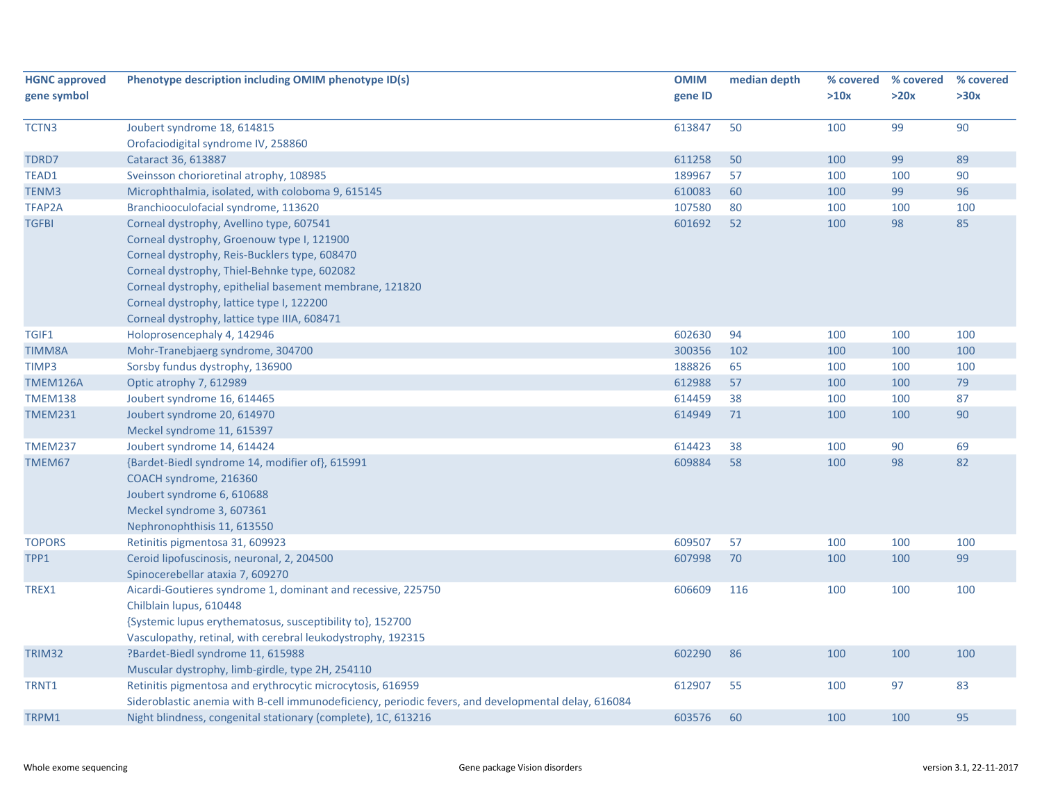| <b>HGNC approved</b> | Phenotype description including OMIM phenotype ID(s)                                                | <b>OMIM</b> | median depth | % covered | % covered | % covered |
|----------------------|-----------------------------------------------------------------------------------------------------|-------------|--------------|-----------|-----------|-----------|
| gene symbol          |                                                                                                     | gene ID     |              | >10x      | >20x      | >30x      |
| TCTN3                | Joubert syndrome 18, 614815                                                                         | 613847      | 50           | 100       | 99        | 90        |
|                      | Orofaciodigital syndrome IV, 258860                                                                 |             |              |           |           |           |
| TDRD7                | Cataract 36, 613887                                                                                 | 611258      | 50           | 100       | 99        | 89        |
| TEAD1                | Sveinsson chorioretinal atrophy, 108985                                                             | 189967      | 57           | 100       | 100       | 90        |
| TENM3                | Microphthalmia, isolated, with coloboma 9, 615145                                                   | 610083      | 60           | 100       | 99        | 96        |
| TFAP2A               | Branchiooculofacial syndrome, 113620                                                                | 107580      | 80           | 100       | 100       | 100       |
| <b>TGFBI</b>         | Corneal dystrophy, Avellino type, 607541                                                            | 601692      | 52           | 100       | 98        | 85        |
|                      | Corneal dystrophy, Groenouw type I, 121900                                                          |             |              |           |           |           |
|                      | Corneal dystrophy, Reis-Bucklers type, 608470                                                       |             |              |           |           |           |
|                      | Corneal dystrophy, Thiel-Behnke type, 602082                                                        |             |              |           |           |           |
|                      | Corneal dystrophy, epithelial basement membrane, 121820                                             |             |              |           |           |           |
|                      | Corneal dystrophy, lattice type I, 122200                                                           |             |              |           |           |           |
|                      | Corneal dystrophy, lattice type IIIA, 608471                                                        |             |              |           |           |           |
| TGIF1                | Holoprosencephaly 4, 142946                                                                         | 602630      | 94           | 100       | 100       | 100       |
| TIMM8A               | Mohr-Tranebjaerg syndrome, 304700                                                                   | 300356      | 102          | 100       | 100       | 100       |
| TIMP3                | Sorsby fundus dystrophy, 136900                                                                     | 188826      | 65           | 100       | 100       | 100       |
| TMEM126A             | Optic atrophy 7, 612989                                                                             | 612988      | 57           | 100       | 100       | 79        |
| <b>TMEM138</b>       | Joubert syndrome 16, 614465                                                                         | 614459      | 38           | 100       | 100       | 87        |
| <b>TMEM231</b>       | Joubert syndrome 20, 614970                                                                         | 614949      | 71           | 100       | 100       | 90        |
|                      | Meckel syndrome 11, 615397                                                                          |             |              |           |           |           |
| <b>TMEM237</b>       | Joubert syndrome 14, 614424                                                                         | 614423      | 38           | 100       | 90        | 69        |
| TMEM67               | {Bardet-Biedl syndrome 14, modifier of}, 615991                                                     | 609884      | 58           | 100       | 98        | 82        |
|                      | COACH syndrome, 216360                                                                              |             |              |           |           |           |
|                      | Joubert syndrome 6, 610688                                                                          |             |              |           |           |           |
|                      | Meckel syndrome 3, 607361                                                                           |             |              |           |           |           |
|                      | Nephronophthisis 11, 613550                                                                         |             |              |           |           |           |
| <b>TOPORS</b>        | Retinitis pigmentosa 31, 609923                                                                     | 609507      | 57           | 100       | 100       | 100       |
| TPP1                 | Ceroid lipofuscinosis, neuronal, 2, 204500                                                          | 607998      | 70           | 100       | 100       | 99        |
|                      | Spinocerebellar ataxia 7, 609270                                                                    |             |              |           |           |           |
| TREX1                | Aicardi-Goutieres syndrome 1, dominant and recessive, 225750                                        | 606609      | 116          | 100       | 100       | 100       |
|                      | Chilblain lupus, 610448                                                                             |             |              |           |           |           |
|                      | {Systemic lupus erythematosus, susceptibility to}, 152700                                           |             |              |           |           |           |
|                      | Vasculopathy, retinal, with cerebral leukodystrophy, 192315                                         |             |              |           |           |           |
| TRIM32               | ?Bardet-Biedl syndrome 11, 615988                                                                   | 602290      | 86           | 100       | 100       | 100       |
|                      | Muscular dystrophy, limb-girdle, type 2H, 254110                                                    |             |              |           |           |           |
| TRNT1                | Retinitis pigmentosa and erythrocytic microcytosis, 616959                                          | 612907      | 55           | 100       | 97        | 83        |
|                      | Sideroblastic anemia with B-cell immunodeficiency, periodic fevers, and developmental delay, 616084 |             |              |           |           |           |
| TRPM1                | Night blindness, congenital stationary (complete), 1C, 613216                                       | 603576      | 60           | 100       | 100       | 95        |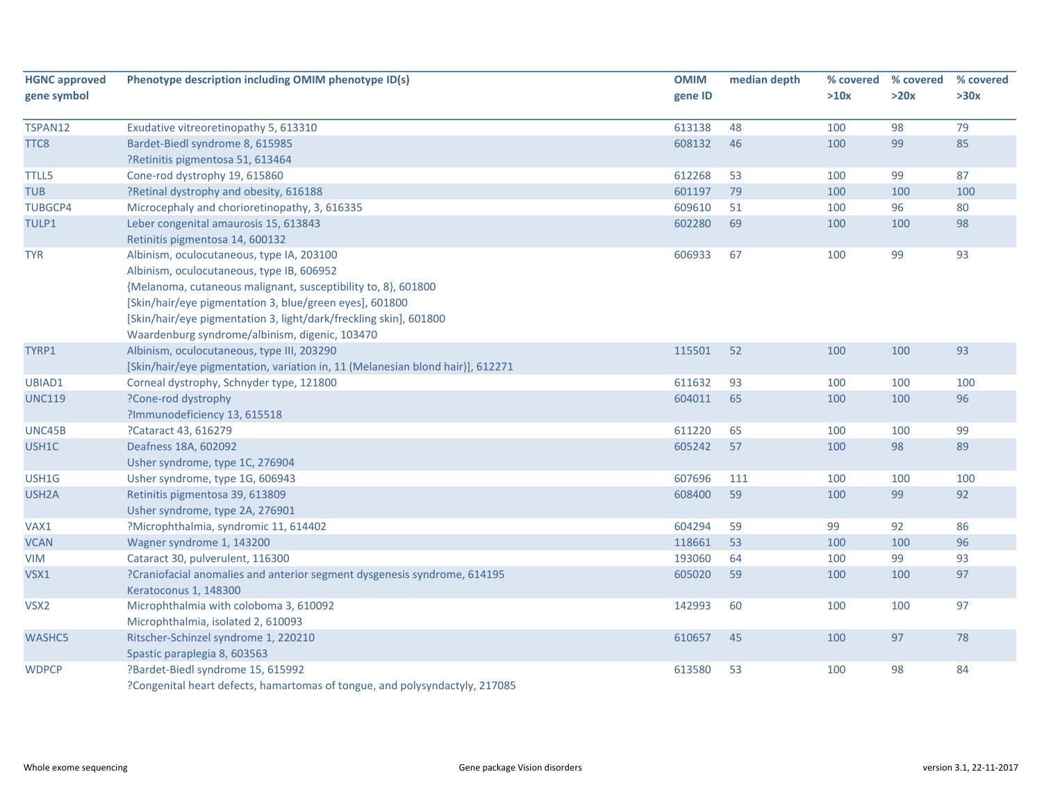| gene symbol<br>>10x<br>>20x<br>>30x<br>gene ID<br>79<br>48<br>98<br>Exudative vitreoretinopathy 5, 613310<br>613138<br>100<br>85<br>608132<br>46<br>99<br>Bardet-Biedl syndrome 8, 615985<br>100<br>?Retinitis pigmentosa 51, 613464<br>Cone-rod dystrophy 19, 615860<br>612268<br>53<br>99<br>87<br>100<br>?Retinal dystrophy and obesity, 616188<br>601197<br>100<br>79<br>100<br>100<br>Microcephaly and chorioretinopathy, 3, 616335<br>609610<br>51<br>100<br>96<br>80<br>602280<br>69<br>100<br>98<br>Leber congenital amaurosis 15, 613843<br>100 |  |
|----------------------------------------------------------------------------------------------------------------------------------------------------------------------------------------------------------------------------------------------------------------------------------------------------------------------------------------------------------------------------------------------------------------------------------------------------------------------------------------------------------------------------------------------------------|--|
| TSPAN12<br>TTC8<br><b>TTLL5</b><br><b>TUB</b><br><b>TUBGCP4</b><br>TULP1                                                                                                                                                                                                                                                                                                                                                                                                                                                                                 |  |
|                                                                                                                                                                                                                                                                                                                                                                                                                                                                                                                                                          |  |
|                                                                                                                                                                                                                                                                                                                                                                                                                                                                                                                                                          |  |
|                                                                                                                                                                                                                                                                                                                                                                                                                                                                                                                                                          |  |
|                                                                                                                                                                                                                                                                                                                                                                                                                                                                                                                                                          |  |
|                                                                                                                                                                                                                                                                                                                                                                                                                                                                                                                                                          |  |
|                                                                                                                                                                                                                                                                                                                                                                                                                                                                                                                                                          |  |
|                                                                                                                                                                                                                                                                                                                                                                                                                                                                                                                                                          |  |
|                                                                                                                                                                                                                                                                                                                                                                                                                                                                                                                                                          |  |
| Retinitis pigmentosa 14, 600132                                                                                                                                                                                                                                                                                                                                                                                                                                                                                                                          |  |
| 99<br>93<br><b>TYR</b><br>Albinism, oculocutaneous, type IA, 203100<br>606933<br>67<br>100                                                                                                                                                                                                                                                                                                                                                                                                                                                               |  |
| Albinism, oculocutaneous, type IB, 606952                                                                                                                                                                                                                                                                                                                                                                                                                                                                                                                |  |
| {Melanoma, cutaneous malignant, susceptibility to, 8}, 601800                                                                                                                                                                                                                                                                                                                                                                                                                                                                                            |  |
| [Skin/hair/eye pigmentation 3, blue/green eyes], 601800                                                                                                                                                                                                                                                                                                                                                                                                                                                                                                  |  |
| [Skin/hair/eye pigmentation 3, light/dark/freckling skin], 601800                                                                                                                                                                                                                                                                                                                                                                                                                                                                                        |  |
| Waardenburg syndrome/albinism, digenic, 103470                                                                                                                                                                                                                                                                                                                                                                                                                                                                                                           |  |
| 93<br>TYRP1<br>Albinism, oculocutaneous, type III, 203290<br>115501<br>52<br>100<br>100                                                                                                                                                                                                                                                                                                                                                                                                                                                                  |  |
| [Skin/hair/eye pigmentation, variation in, 11 (Melanesian blond hair)], 612271                                                                                                                                                                                                                                                                                                                                                                                                                                                                           |  |
| UBIAD1<br>Corneal dystrophy, Schnyder type, 121800<br>611632<br>93<br>100<br>100<br>100                                                                                                                                                                                                                                                                                                                                                                                                                                                                  |  |
| ?Cone-rod dystrophy<br>604011<br>65<br>100<br>96<br><b>UNC119</b><br>100                                                                                                                                                                                                                                                                                                                                                                                                                                                                                 |  |
| ?Immunodeficiency 13, 615518                                                                                                                                                                                                                                                                                                                                                                                                                                                                                                                             |  |
| ?Cataract 43, 616279<br>100<br>99<br>UNC45B<br>611220<br>65<br>100                                                                                                                                                                                                                                                                                                                                                                                                                                                                                       |  |
| 605242<br>89<br>USH1C<br>Deafness 18A, 602092<br>57<br>100<br>98                                                                                                                                                                                                                                                                                                                                                                                                                                                                                         |  |
| Usher syndrome, type 1C, 276904                                                                                                                                                                                                                                                                                                                                                                                                                                                                                                                          |  |
| USH1G<br>607696<br>100<br>100<br>100<br>Usher syndrome, type 1G, 606943<br>111                                                                                                                                                                                                                                                                                                                                                                                                                                                                           |  |
| 608400<br>59<br>USH <sub>2</sub> A<br>Retinitis pigmentosa 39, 613809<br>100<br>99<br>92                                                                                                                                                                                                                                                                                                                                                                                                                                                                 |  |
| Usher syndrome, type 2A, 276901                                                                                                                                                                                                                                                                                                                                                                                                                                                                                                                          |  |
| 604294<br>92<br>86<br>VAX1<br>?Microphthalmia, syndromic 11, 614402<br>59<br>99                                                                                                                                                                                                                                                                                                                                                                                                                                                                          |  |
| 96<br><b>VCAN</b><br>Wagner syndrome 1, 143200<br>118661<br>53<br>100<br>100                                                                                                                                                                                                                                                                                                                                                                                                                                                                             |  |
| 193060<br>99<br>93<br><b>VIM</b><br>Cataract 30, pulverulent, 116300<br>64<br>100                                                                                                                                                                                                                                                                                                                                                                                                                                                                        |  |
| 605020<br>VSX1<br>?Craniofacial anomalies and anterior segment dysgenesis syndrome, 614195<br>59<br>100<br>100<br>97                                                                                                                                                                                                                                                                                                                                                                                                                                     |  |
| Keratoconus 1, 148300                                                                                                                                                                                                                                                                                                                                                                                                                                                                                                                                    |  |
| Microphthalmia with coloboma 3, 610092<br>142993<br>60<br>100<br>97<br>VSX <sub>2</sub><br>100                                                                                                                                                                                                                                                                                                                                                                                                                                                           |  |
| Microphthalmia, isolated 2, 610093                                                                                                                                                                                                                                                                                                                                                                                                                                                                                                                       |  |
| WASHC5<br>Ritscher-Schinzel syndrome 1, 220210<br>610657<br>45<br>97<br>78<br>100                                                                                                                                                                                                                                                                                                                                                                                                                                                                        |  |
| Spastic paraplegia 8, 603563                                                                                                                                                                                                                                                                                                                                                                                                                                                                                                                             |  |
| 84<br><b>WDPCP</b><br>?Bardet-Biedl syndrome 15, 615992<br>613580<br>53<br>100<br>98                                                                                                                                                                                                                                                                                                                                                                                                                                                                     |  |
| ?Congenital heart defects, hamartomas of tongue, and polysyndactyly, 217085                                                                                                                                                                                                                                                                                                                                                                                                                                                                              |  |